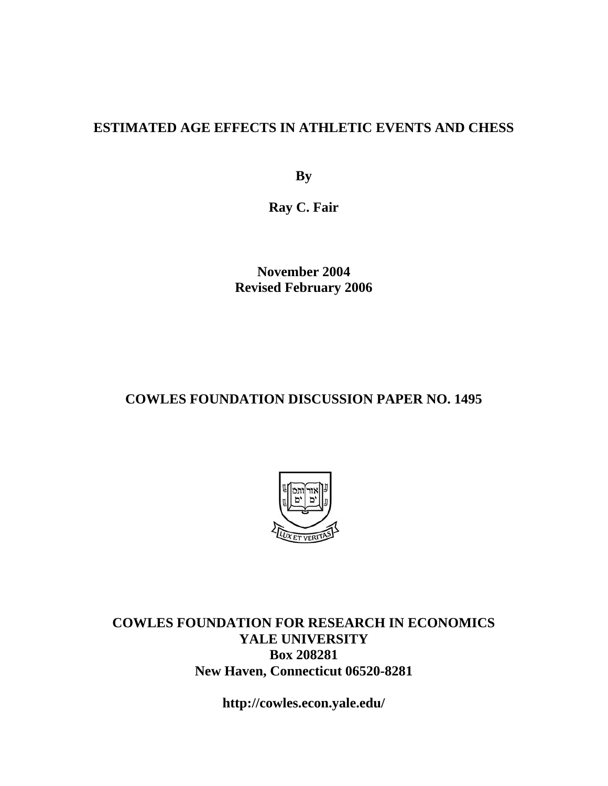## **ESTIMATED AGE EFFECTS IN ATHLETIC EVENTS AND CHESS**

**By** 

**Ray C. Fair** 

**November 2004 Revised February 2006** 

## **COWLES FOUNDATION DISCUSSION PAPER NO. 1495**



**COWLES FOUNDATION FOR RESEARCH IN ECONOMICS YALE UNIVERSITY Box 208281 New Haven, Connecticut 06520-8281** 

**http://cowles.econ.yale.edu/**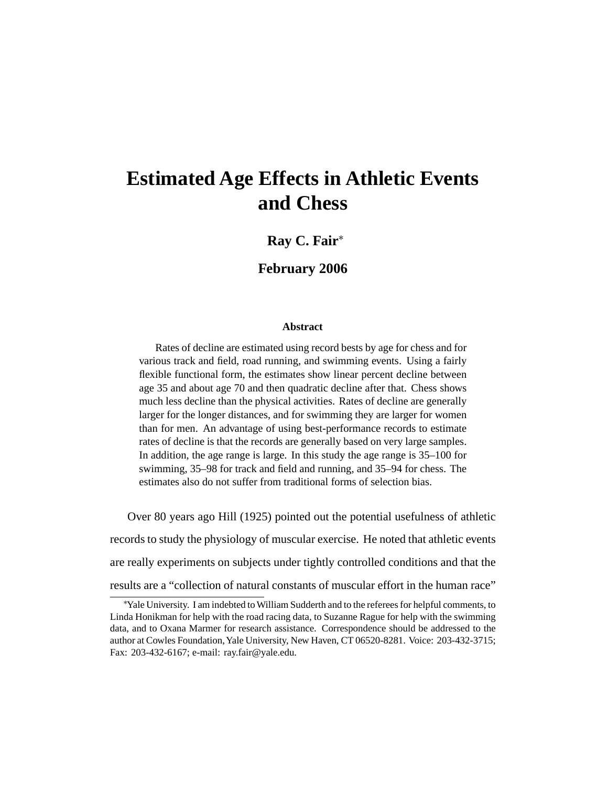# **Estimated Age Effects in Athletic Events and Chess**

## **Ray C. Fair**<sup>∗</sup>

#### **February 2006**

#### **Abstract**

Rates of decline are estimated using record bests by age for chess and for various track and field, road running, and swimming events. Using a fairly flexible functional form, the estimates show linear percent decline between age 35 and about age 70 and then quadratic decline after that. Chess shows much less decline than the physical activities. Rates of decline are generally larger for the longer distances, and for swimming they are larger for women than for men. An advantage of using best-performance records to estimate rates of decline is that the records are generally based on very large samples. In addition, the age range is large. In this study the age range is 35–100 for swimming, 35–98 for track and field and running, and 35–94 for chess. The estimates also do not suffer from traditional forms of selection bias.

Over 80 years ago Hill (1925) pointed out the potential usefulness of athletic

records to study the physiology of muscular exercise. He noted that athletic events

are really experiments on subjects under tightly controlled conditions and that the

results are a "collection of natural constants of muscular effort in the human race"

<sup>∗</sup> Yale University. I am indebted to William Sudderth and to the referees for helpful comments, to Linda Honikman for help with the road racing data, to Suzanne Rague for help with the swimming data, and to Oxana Marmer for research assistance. Correspondence should be addressed to the author at Cowles Foundation,Yale University, New Haven, CT 06520-8281. Voice: 203-432-3715; Fax: 203-432-6167; e-mail: ray.fair@yale.edu.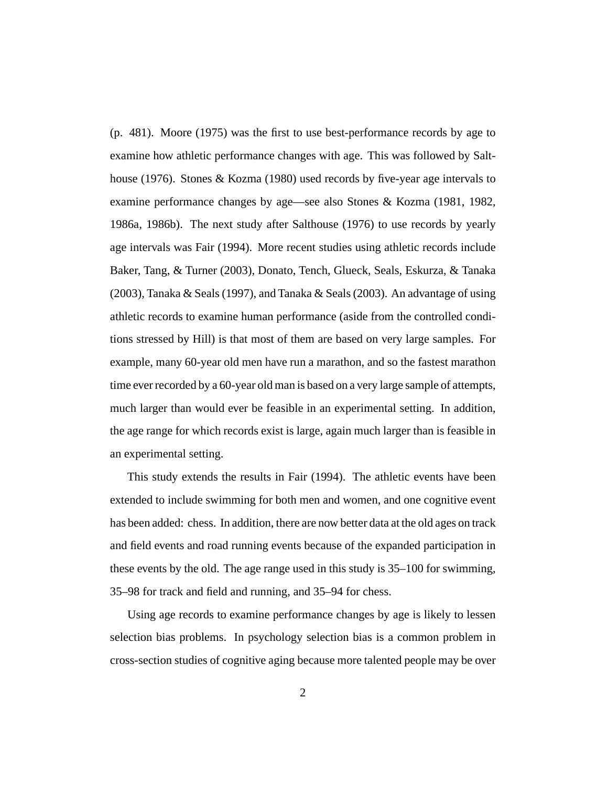(p. 481). Moore (1975) was the first to use best-performance records by age to examine how athletic performance changes with age. This was followed by Salthouse (1976). Stones & Kozma (1980) used records by five-year age intervals to examine performance changes by age—see also Stones & Kozma (1981, 1982, 1986a, 1986b). The next study after Salthouse (1976) to use records by yearly age intervals was Fair (1994). More recent studies using athletic records include Baker, Tang, & Turner (2003), Donato, Tench, Glueck, Seals, Eskurza, & Tanaka (2003), Tanaka & Seals (1997), and Tanaka & Seals (2003). An advantage of using athletic records to examine human performance (aside from the controlled conditions stressed by Hill) is that most of them are based on very large samples. For example, many 60-year old men have run a marathon, and so the fastest marathon time ever recorded by a 60-year old man is based on a very large sample of attempts, much larger than would ever be feasible in an experimental setting. In addition, the age range for which records exist is large, again much larger than is feasible in an experimental setting.

This study extends the results in Fair (1994). The athletic events have been extended to include swimming for both men and women, and one cognitive event has been added: chess. In addition, there are now better data at the old ages on track and field events and road running events because of the expanded participation in these events by the old. The age range used in this study is 35–100 for swimming, 35–98 for track and field and running, and 35–94 for chess.

Using age records to examine performance changes by age is likely to lessen selection bias problems. In psychology selection bias is a common problem in cross-section studies of cognitive aging because more talented people may be over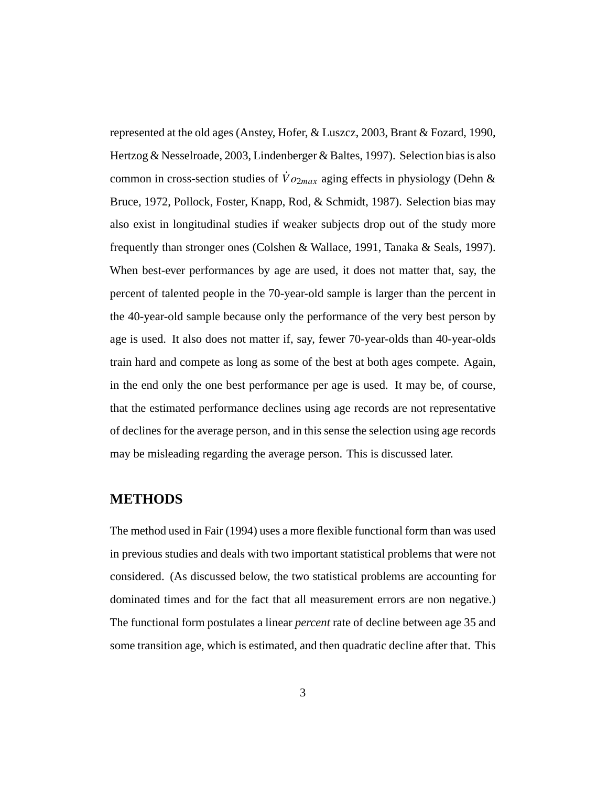represented at the old ages (Anstey, Hofer, & Luszcz, 2003, Brant & Fozard, 1990, Hertzog & Nesselroade, 2003, Lindenberger & Baltes, 1997). Selection bias is also common in cross-section studies of  $\dot{V}o_{2max}$  aging effects in physiology (Dehn & Bruce, 1972, Pollock, Foster, Knapp, Rod, & Schmidt, 1987). Selection bias may also exist in longitudinal studies if weaker subjects drop out of the study more frequently than stronger ones (Colshen & Wallace, 1991, Tanaka & Seals, 1997). When best-ever performances by age are used, it does not matter that, say, the percent of talented people in the 70-year-old sample is larger than the percent in the 40-year-old sample because only the performance of the very best person by age is used. It also does not matter if, say, fewer 70-year-olds than 40-year-olds train hard and compete as long as some of the best at both ages compete. Again, in the end only the one best performance per age is used. It may be, of course, that the estimated performance declines using age records are not representative of declines for the average person, and in this sense the selection using age records may be misleading regarding the average person. This is discussed later.

#### **METHODS**

The method used in Fair (1994) uses a more flexible functional form than was used in previous studies and deals with two important statistical problems that were not considered. (As discussed below, the two statistical problems are accounting for dominated times and for the fact that all measurement errors are non negative.) The functional form postulates a linear *percent* rate of decline between age 35 and some transition age, which is estimated, and then quadratic decline after that. This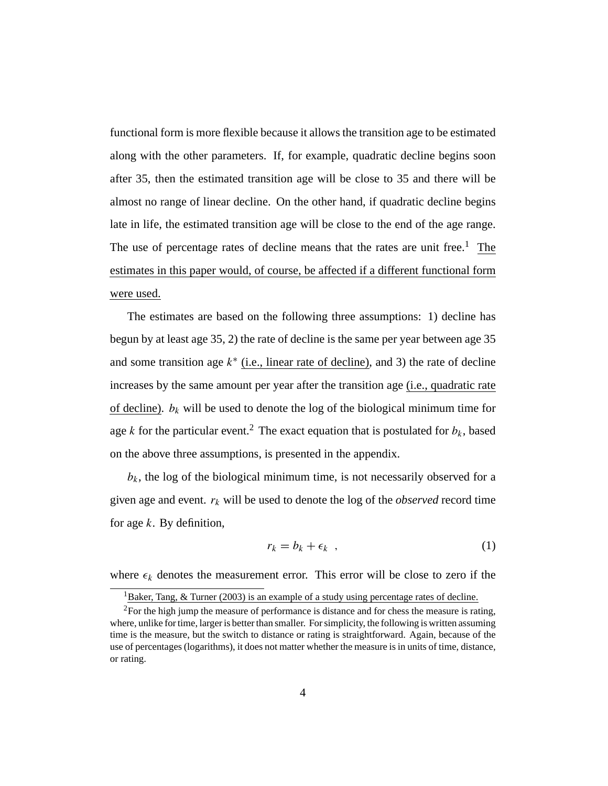functional form is more flexible because it allows the transition age to be estimated along with the other parameters. If, for example, quadratic decline begins soon after 35, then the estimated transition age will be close to 35 and there will be almost no range of linear decline. On the other hand, if quadratic decline begins late in life, the estimated transition age will be close to the end of the age range. The use of percentage rates of decline means that the rates are unit free.<sup>1</sup> The estimates in this paper would, of course, be affected if a different functional form were used.

The estimates are based on the following three assumptions: 1) decline has begun by at least age 35, 2) the rate of decline is the same per year between age 35 and some transition age  $k^*$  (i.e., linear rate of decline), and 3) the rate of decline increases by the same amount per year after the transition age (i.e., quadratic rate of decline).  $b_k$  will be used to denote the log of the biological minimum time for age k for the particular event.<sup>2</sup> The exact equation that is postulated for  $b_k$ , based on the above three assumptions, is presented in the appendix.

 $b_k$ , the log of the biological minimum time, is not necessarily observed for a given age and event.  $r_k$  will be used to denote the log of the *observed* record time for age  $k$ . By definition,

$$
r_k = b_k + \epsilon_k \quad , \tag{1}
$$

where  $\epsilon_k$  denotes the measurement error. This error will be close to zero if the

<sup>&</sup>lt;sup>1</sup>Baker, Tang,  $\&$  Turner (2003) is an example of a study using percentage rates of decline.

<sup>&</sup>lt;sup>2</sup>For the high jump the measure of performance is distance and for chess the measure is rating, where, unlike for time, larger is better than smaller. For simplicity, the following is written assuming time is the measure, but the switch to distance or rating is straightforward. Again, because of the use of percentages (logarithms), it does not matter whether the measure is in units of time, distance, or rating.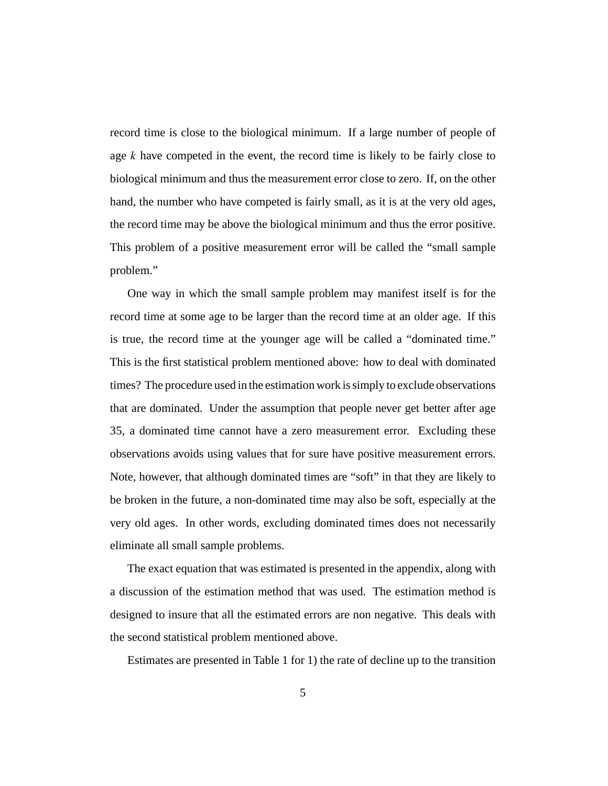record time is close to the biological minimum. If a large number of people of age  $k$  have competed in the event, the record time is likely to be fairly close to biological minimum and thus the measurement error close to zero. If, on the other hand, the number who have competed is fairly small, as it is at the very old ages, the record time may be above the biological minimum and thus the error positive. This problem of a positive measurement error will be called the "small sample problem."

One way in which the small sample problem may manifest itself is for the record time at some age to be larger than the record time at an older age. If this is true, the record time at the younger age will be called a "dominated time." This is the first statistical problem mentioned above: how to deal with dominated times? The procedure used in the estimation work is simply to exclude observations that are dominated. Under the assumption that people never get better after age 35, a dominated time cannot have a zero measurement error. Excluding these observations avoids using values that for sure have positive measurement errors. Note, however, that although dominated times are "soft" in that they are likely to be broken in the future, a non-dominated time may also be soft, especially at the very old ages. In other words, excluding dominated times does not necessarily eliminate all small sample problems.

The exact equation that was estimated is presented in the appendix, along with a discussion of the estimation method that was used. The estimation method is designed to insure that all the estimated errors are non negative. This deals with the second statistical problem mentioned above.

Estimates are presented in Table 1 for 1) the rate of decline up to the transition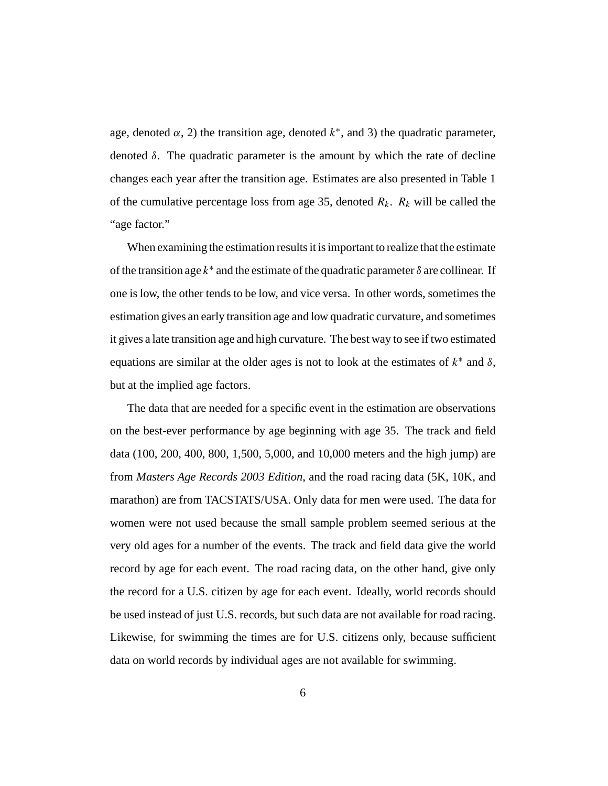age, denoted  $\alpha$ , 2) the transition age, denoted  $k^*$ , and 3) the quadratic parameter, denoted  $\delta$ . The quadratic parameter is the amount by which the rate of decline changes each year after the transition age. Estimates are also presented in Table 1 of the cumulative percentage loss from age 35, denoted  $R_k$ .  $R_k$  will be called the "age factor."

When examining the estimation results it is important to realize that the estimate of the transition age  $k^*$  and the estimate of the quadratic parameter  $\delta$  are collinear. If one is low, the other tends to be low, and vice versa. In other words, sometimes the estimation gives an early transition age and low quadratic curvature, and sometimes it gives a late transition age and high curvature. The best way to see if two estimated equations are similar at the older ages is not to look at the estimates of  $k^*$  and  $\delta$ , but at the implied age factors.

The data that are needed for a specific event in the estimation are observations on the best-ever performance by age beginning with age 35. The track and field data (100, 200, 400, 800, 1,500, 5,000, and 10,000 meters and the high jump) are from *Masters Age Records 2003 Edition*, and the road racing data (5K, 10K, and marathon) are from TACSTATS/USA. Only data for men were used. The data for women were not used because the small sample problem seemed serious at the very old ages for a number of the events. The track and field data give the world record by age for each event. The road racing data, on the other hand, give only the record for a U.S. citizen by age for each event. Ideally, world records should be used instead of just U.S. records, but such data are not available for road racing. Likewise, for swimming the times are for U.S. citizens only, because sufficient data on world records by individual ages are not available for swimming.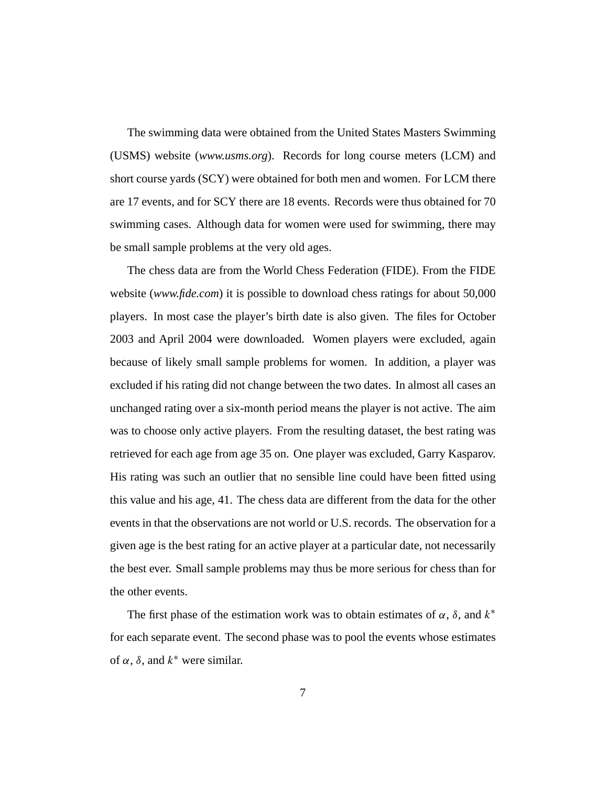The swimming data were obtained from the United States Masters Swimming (USMS) website (*www.usms.org*). Records for long course meters (LCM) and short course yards (SCY) were obtained for both men and women. For LCM there are 17 events, and for SCY there are 18 events. Records were thus obtained for 70 swimming cases. Although data for women were used for swimming, there may be small sample problems at the very old ages.

The chess data are from the World Chess Federation (FIDE). From the FIDE website (*www.fide.com*) it is possible to download chess ratings for about 50,000 players. In most case the player's birth date is also given. The files for October 2003 and April 2004 were downloaded. Women players were excluded, again because of likely small sample problems for women. In addition, a player was excluded if his rating did not change between the two dates. In almost all cases an unchanged rating over a six-month period means the player is not active. The aim was to choose only active players. From the resulting dataset, the best rating was retrieved for each age from age 35 on. One player was excluded, Garry Kasparov. His rating was such an outlier that no sensible line could have been fitted using this value and his age, 41. The chess data are different from the data for the other events in that the observations are not world or U.S. records. The observation for a given age is the best rating for an active player at a particular date, not necessarily the best ever. Small sample problems may thus be more serious for chess than for the other events.

The first phase of the estimation work was to obtain estimates of  $\alpha$ ,  $\delta$ , and  $k^*$ for each separate event. The second phase was to pool the events whose estimates of  $\alpha$ ,  $\delta$ , and  $k^*$  were similar.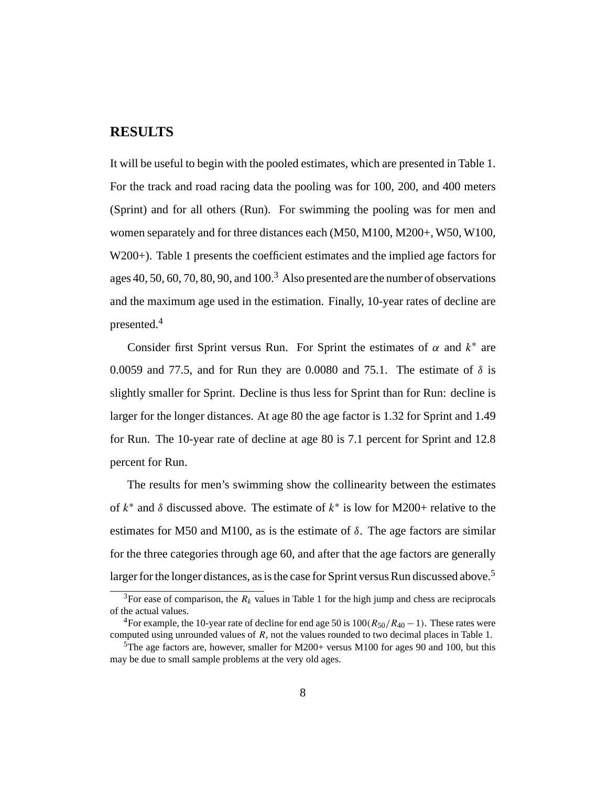#### **RESULTS**

It will be useful to begin with the pooled estimates, which are presented in Table 1. For the track and road racing data the pooling was for 100, 200, and 400 meters (Sprint) and for all others (Run). For swimming the pooling was for men and women separately and for three distances each (M50, M100, M200+, W50, W100, W200+). Table 1 presents the coefficient estimates and the implied age factors for ages 40, 50, 60, 70, 80, 90, and  $100<sup>3</sup>$  Also presented are the number of observations and the maximum age used in the estimation. Finally, 10-year rates of decline are presented.4

Consider first Sprint versus Run. For Sprint the estimates of  $\alpha$  and  $k^*$  are 0.0059 and 77.5, and for Run they are 0.0080 and 75.1. The estimate of  $\delta$  is slightly smaller for Sprint. Decline is thus less for Sprint than for Run: decline is larger for the longer distances. At age 80 the age factor is 1.32 for Sprint and 1.49 for Run. The 10-year rate of decline at age 80 is 7.1 percent for Sprint and 12.8 percent for Run.

The results for men's swimming show the collinearity between the estimates of  $k^*$  and  $\delta$  discussed above. The estimate of  $k^*$  is low for M200+ relative to the estimates for M50 and M100, as is the estimate of  $\delta$ . The age factors are similar for the three categories through age 60, and after that the age factors are generally larger for the longer distances, as is the case for Sprint versus Run discussed above.<sup>5</sup>

<sup>&</sup>lt;sup>3</sup>For ease of comparison, the  $R_k$  values in Table 1 for the high jump and chess are reciprocals of the actual values.

<sup>&</sup>lt;sup>4</sup>For example, the 10-year rate of decline for end age 50 is  $100(R_{50}/R_{40} - 1)$ . These rates were computed using unrounded values of  $R$ , not the values rounded to two decimal places in Table 1.

<sup>&</sup>lt;sup>5</sup>The age factors are, however, smaller for M200+ versus M100 for ages 90 and 100, but this may be due to small sample problems at the very old ages.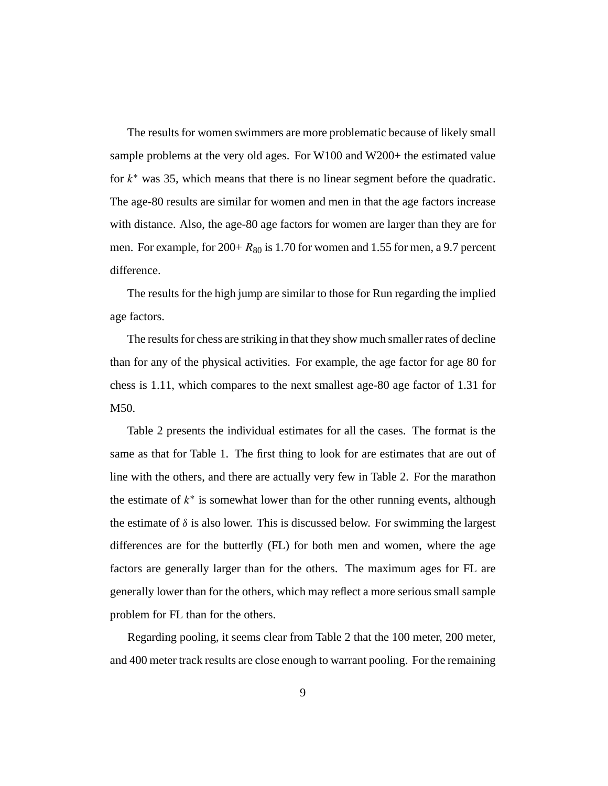The results for women swimmers are more problematic because of likely small sample problems at the very old ages. For W100 and W200+ the estimated value for  $k^*$  was 35, which means that there is no linear segment before the quadratic. The age-80 results are similar for women and men in that the age factors increase with distance. Also, the age-80 age factors for women are larger than they are for men. For example, for  $200+ R_{80}$  is 1.70 for women and 1.55 for men, a 9.7 percent difference.

The results for the high jump are similar to those for Run regarding the implied age factors.

The results for chess are striking in that they show much smaller rates of decline than for any of the physical activities. For example, the age factor for age 80 for chess is 1.11, which compares to the next smallest age-80 age factor of 1.31 for M50.

Table 2 presents the individual estimates for all the cases. The format is the same as that for Table 1. The first thing to look for are estimates that are out of line with the others, and there are actually very few in Table 2. For the marathon the estimate of  $k^*$  is somewhat lower than for the other running events, although the estimate of  $\delta$  is also lower. This is discussed below. For swimming the largest differences are for the butterfly (FL) for both men and women, where the age factors are generally larger than for the others. The maximum ages for FL are generally lower than for the others, which may reflect a more serious small sample problem for FL than for the others.

Regarding pooling, it seems clear from Table 2 that the 100 meter, 200 meter, and 400 meter track results are close enough to warrant pooling. For the remaining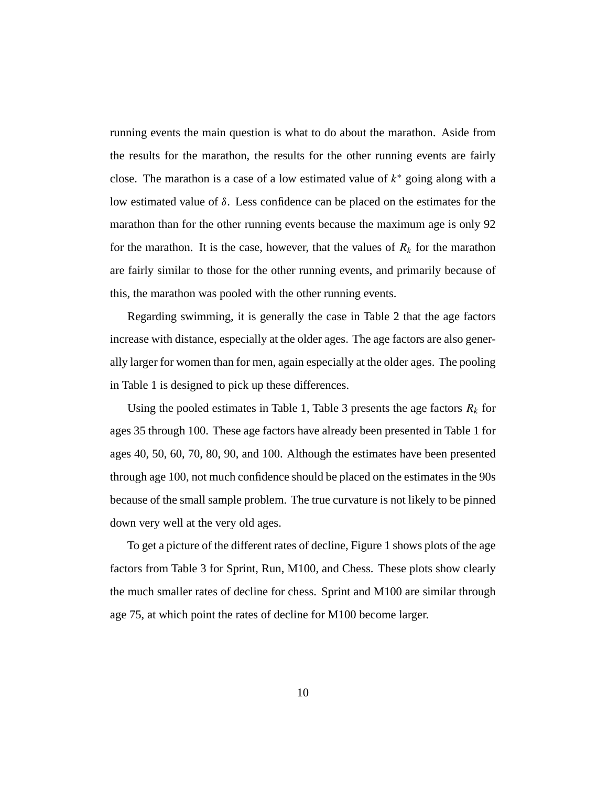running events the main question is what to do about the marathon. Aside from the results for the marathon, the results for the other running events are fairly close. The marathon is a case of a low estimated value of  $k^*$  going along with a low estimated value of δ. Less confidence can be placed on the estimates for the marathon than for the other running events because the maximum age is only 92 for the marathon. It is the case, however, that the values of  $R_k$  for the marathon are fairly similar to those for the other running events, and primarily because of this, the marathon was pooled with the other running events.

Regarding swimming, it is generally the case in Table 2 that the age factors increase with distance, especially at the older ages. The age factors are also generally larger for women than for men, again especially at the older ages. The pooling in Table 1 is designed to pick up these differences.

Using the pooled estimates in Table 1, Table 3 presents the age factors  $R_k$  for ages 35 through 100. These age factors have already been presented in Table 1 for ages 40, 50, 60, 70, 80, 90, and 100. Although the estimates have been presented through age 100, not much confidence should be placed on the estimates in the 90s because of the small sample problem. The true curvature is not likely to be pinned down very well at the very old ages.

To get a picture of the different rates of decline, Figure 1 shows plots of the age factors from Table 3 for Sprint, Run, M100, and Chess. These plots show clearly the much smaller rates of decline for chess. Sprint and M100 are similar through age 75, at which point the rates of decline for M100 become larger.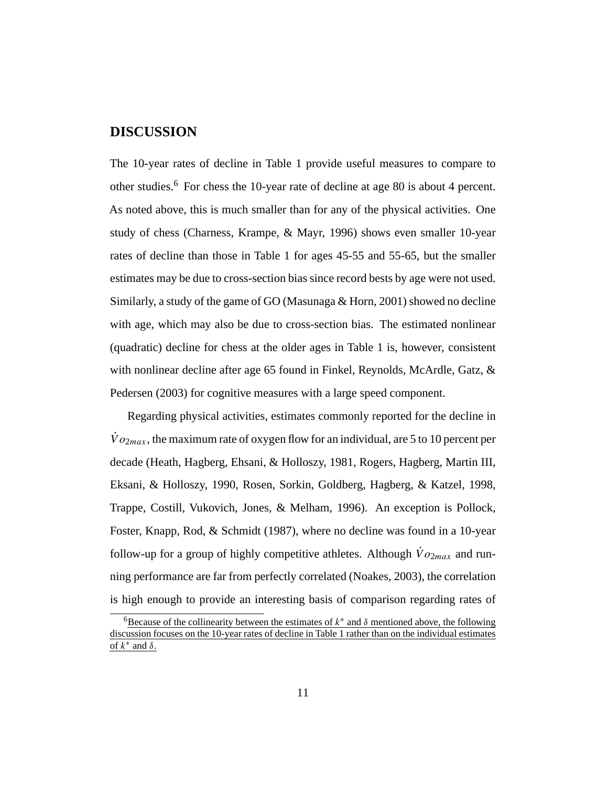### **DISCUSSION**

The 10-year rates of decline in Table 1 provide useful measures to compare to other studies.6 For chess the 10-year rate of decline at age 80 is about 4 percent. As noted above, this is much smaller than for any of the physical activities. One study of chess (Charness, Krampe, & Mayr, 1996) shows even smaller 10-year rates of decline than those in Table 1 for ages 45-55 and 55-65, but the smaller estimates may be due to cross-section bias since record bests by age were not used. Similarly, a study of the game of GO (Masunaga  $&$  Horn, 2001) showed no decline with age, which may also be due to cross-section bias. The estimated nonlinear (quadratic) decline for chess at the older ages in Table 1 is, however, consistent with nonlinear decline after age 65 found in Finkel, Reynolds, McArdle, Gatz, & Pedersen (2003) for cognitive measures with a large speed component.

Regarding physical activities, estimates commonly reported for the decline in  $\dot{V}$   $o_{2max}$ , the maximum rate of oxygen flow for an individual, are 5 to 10 percent per decade (Heath, Hagberg, Ehsani, & Holloszy, 1981, Rogers, Hagberg, Martin III, Eksani, & Holloszy, 1990, Rosen, Sorkin, Goldberg, Hagberg, & Katzel, 1998, Trappe, Costill, Vukovich, Jones, & Melham, 1996). An exception is Pollock, Foster, Knapp, Rod, & Schmidt (1987), where no decline was found in a 10-year follow-up for a group of highly competitive athletes. Although  $\dot{V}o_{2max}$  and running performance are far from perfectly correlated (Noakes, 2003), the correlation is high enough to provide an interesting basis of comparison regarding rates of

<sup>&</sup>lt;sup>6</sup>Because of the collinearity between the estimates of  $k^*$  and  $\delta$  mentioned above, the following discussion focuses on the 10-year rates of decline in Table 1 rather than on the individual estimates of  $k^*$  and  $\delta$ .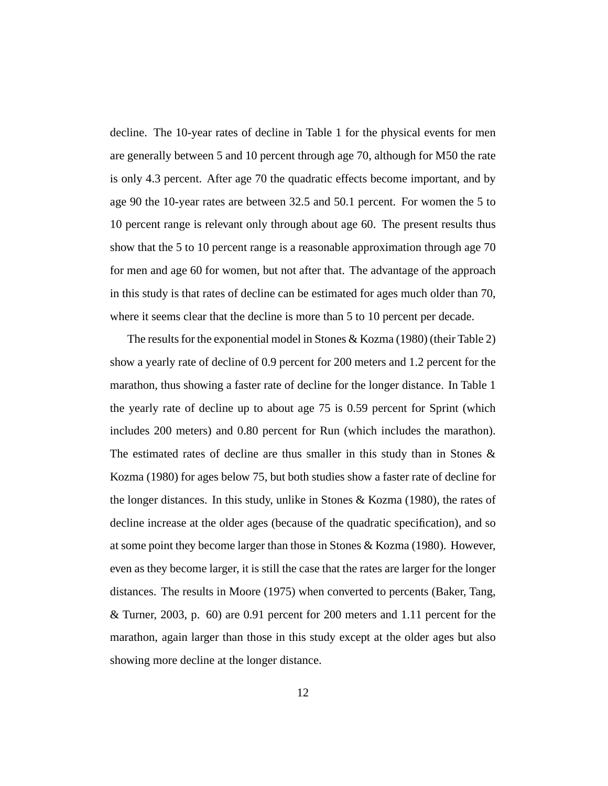decline. The 10-year rates of decline in Table 1 for the physical events for men are generally between 5 and 10 percent through age 70, although for M50 the rate is only 4.3 percent. After age 70 the quadratic effects become important, and by age 90 the 10-year rates are between 32.5 and 50.1 percent. For women the 5 to 10 percent range is relevant only through about age 60. The present results thus show that the 5 to 10 percent range is a reasonable approximation through age 70 for men and age 60 for women, but not after that. The advantage of the approach in this study is that rates of decline can be estimated for ages much older than 70, where it seems clear that the decline is more than 5 to 10 percent per decade.

The results for the exponential model in Stones & Kozma (1980) (their Table 2) show a yearly rate of decline of 0.9 percent for 200 meters and 1.2 percent for the marathon, thus showing a faster rate of decline for the longer distance. In Table 1 the yearly rate of decline up to about age 75 is 0.59 percent for Sprint (which includes 200 meters) and 0.80 percent for Run (which includes the marathon). The estimated rates of decline are thus smaller in this study than in Stones & Kozma (1980) for ages below 75, but both studies show a faster rate of decline for the longer distances. In this study, unlike in Stones & Kozma (1980), the rates of decline increase at the older ages (because of the quadratic specification), and so at some point they become larger than those in Stones & Kozma (1980). However, even as they become larger, it is still the case that the rates are larger for the longer distances. The results in Moore (1975) when converted to percents (Baker, Tang, & Turner, 2003, p. 60) are 0.91 percent for 200 meters and 1.11 percent for the marathon, again larger than those in this study except at the older ages but also showing more decline at the longer distance.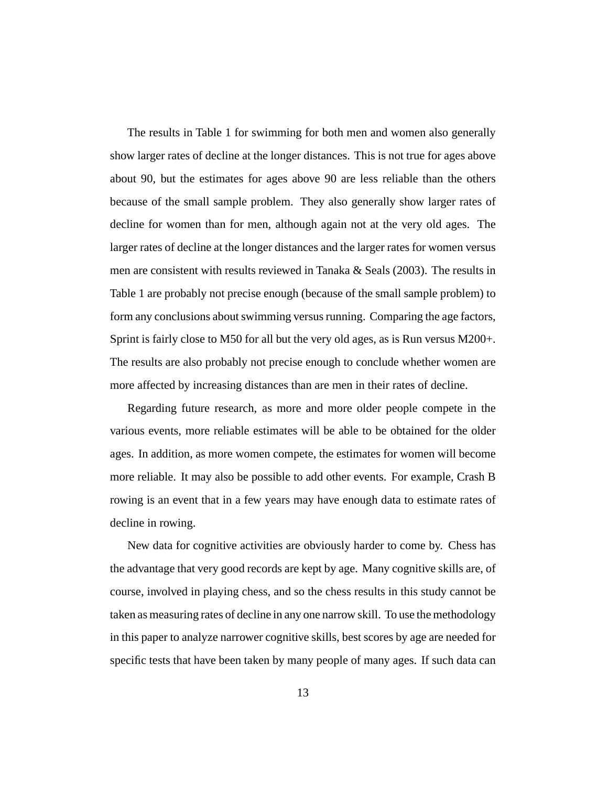The results in Table 1 for swimming for both men and women also generally show larger rates of decline at the longer distances. This is not true for ages above about 90, but the estimates for ages above 90 are less reliable than the others because of the small sample problem. They also generally show larger rates of decline for women than for men, although again not at the very old ages. The larger rates of decline at the longer distances and the larger rates for women versus men are consistent with results reviewed in Tanaka & Seals  $(2003)$ . The results in Table 1 are probably not precise enough (because of the small sample problem) to form any conclusions about swimming versus running. Comparing the age factors, Sprint is fairly close to M50 for all but the very old ages, as is Run versus M200+. The results are also probably not precise enough to conclude whether women are more affected by increasing distances than are men in their rates of decline.

Regarding future research, as more and more older people compete in the various events, more reliable estimates will be able to be obtained for the older ages. In addition, as more women compete, the estimates for women will become more reliable. It may also be possible to add other events. For example, Crash B rowing is an event that in a few years may have enough data to estimate rates of decline in rowing.

New data for cognitive activities are obviously harder to come by. Chess has the advantage that very good records are kept by age. Many cognitive skills are, of course, involved in playing chess, and so the chess results in this study cannot be taken as measuring rates of decline in any one narrow skill. To use the methodology in this paper to analyze narrower cognitive skills, best scores by age are needed for specific tests that have been taken by many people of many ages. If such data can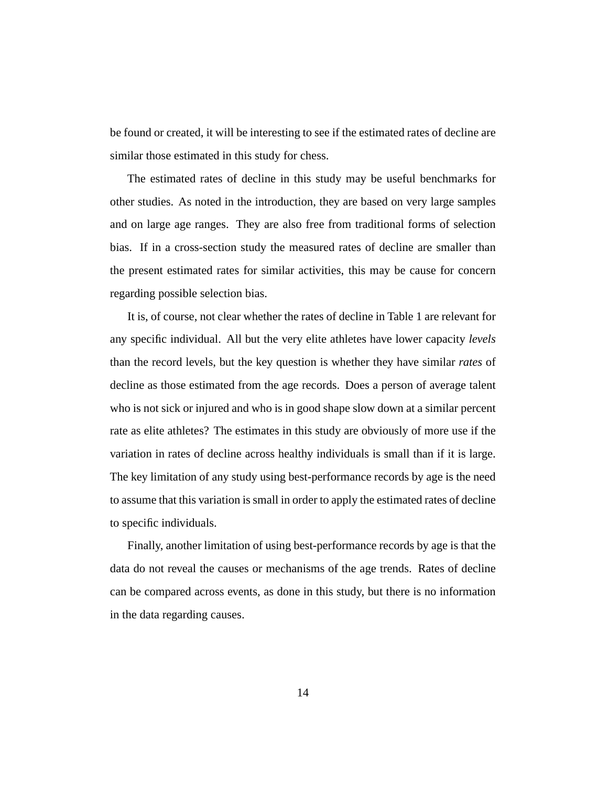be found or created, it will be interesting to see if the estimated rates of decline are similar those estimated in this study for chess.

The estimated rates of decline in this study may be useful benchmarks for other studies. As noted in the introduction, they are based on very large samples and on large age ranges. They are also free from traditional forms of selection bias. If in a cross-section study the measured rates of decline are smaller than the present estimated rates for similar activities, this may be cause for concern regarding possible selection bias.

It is, of course, not clear whether the rates of decline in Table 1 are relevant for any specific individual. All but the very elite athletes have lower capacity *levels* than the record levels, but the key question is whether they have similar *rates* of decline as those estimated from the age records. Does a person of average talent who is not sick or injured and who is in good shape slow down at a similar percent rate as elite athletes? The estimates in this study are obviously of more use if the variation in rates of decline across healthy individuals is small than if it is large. The key limitation of any study using best-performance records by age is the need to assume that this variation is small in order to apply the estimated rates of decline to specific individuals.

Finally, another limitation of using best-performance records by age is that the data do not reveal the causes or mechanisms of the age trends. Rates of decline can be compared across events, as done in this study, but there is no information in the data regarding causes.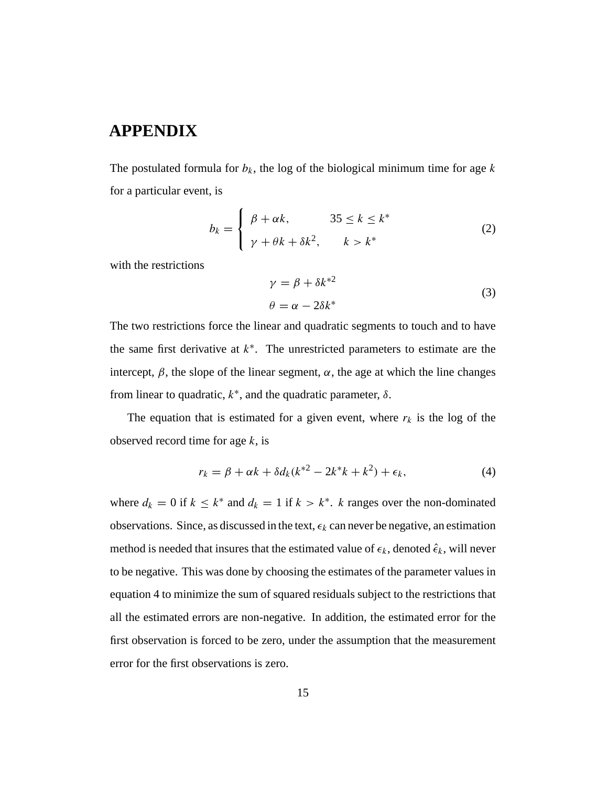# **APPENDIX**

The postulated formula for  $b_k$ , the log of the biological minimum time for age k for a particular event, is

$$
b_k = \begin{cases} \beta + \alpha k, & 35 \le k \le k^* \\ \gamma + \theta k + \delta k^2, & k > k^* \end{cases}
$$
 (2)

with the restrictions

$$
\gamma = \beta + \delta k^{*2}
$$
  
\n
$$
\theta = \alpha - 2\delta k^*
$$
\n(3)

The two restrictions force the linear and quadratic segments to touch and to have the same first derivative at  $k^*$ . The unrestricted parameters to estimate are the intercept,  $\beta$ , the slope of the linear segment,  $\alpha$ , the age at which the line changes from linear to quadratic,  $k^*$ , and the quadratic parameter,  $\delta$ .

The equation that is estimated for a given event, where  $r_k$  is the log of the observed record time for age  $k$ , is

$$
r_k = \beta + \alpha k + \delta d_k (k^{*2} - 2k^*k + k^2) + \epsilon_k,
$$
\n(4)

where  $d_k = 0$  if  $k \leq k^*$  and  $d_k = 1$  if  $k > k^*$ . k ranges over the non-dominated observations. Since, as discussed in the text,  $\epsilon_k$  can never be negative, an estimation method is needed that insures that the estimated value of  $\epsilon_k$ , denoted  $\hat{\epsilon}_k$ , will never to be negative. This was done by choosing the estimates of the parameter values in equation 4 to minimize the sum of squared residuals subject to the restrictions that all the estimated errors are non-negative. In addition, the estimated error for the first observation is forced to be zero, under the assumption that the measurement error for the first observations is zero.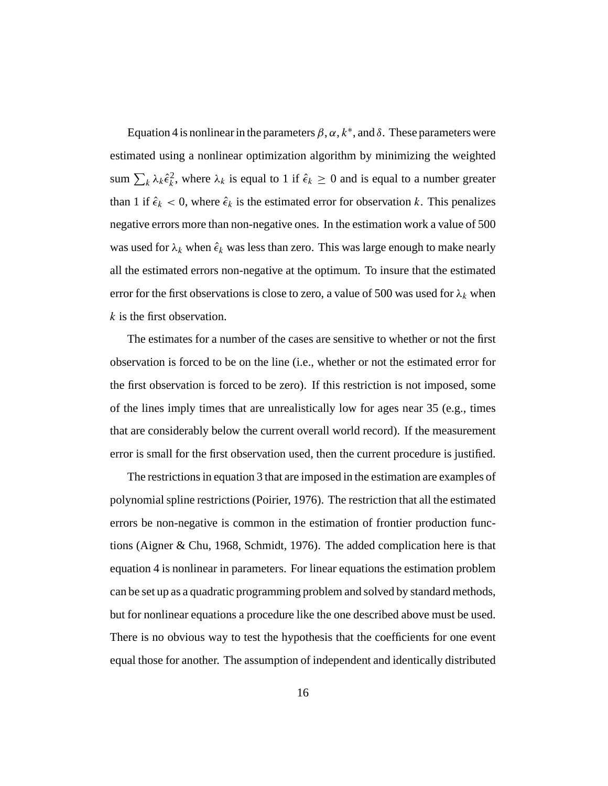Equation 4 is nonlinear in the parameters  $\beta$ ,  $\alpha$ ,  $k^*$ , and  $\delta$ . These parameters were estimated using a nonlinear optimization algorithm by minimizing the weighted sum  $\sum_k \lambda_k \hat{\epsilon}_k^2$ , where  $\lambda_k$  is equal to 1 if  $\hat{\epsilon}_k \ge 0$  and is equal to a number greater than 1 if  $\hat{\epsilon}_k < 0$ , where  $\hat{\epsilon}_k$  is the estimated error for observation k. This penalizes negative errors more than non-negative ones. In the estimation work a value of 500 was used for  $\lambda_k$  when  $\hat{\epsilon}_k$  was less than zero. This was large enough to make nearly all the estimated errors non-negative at the optimum. To insure that the estimated error for the first observations is close to zero, a value of 500 was used for  $\lambda_k$  when k is the first observation.

The estimates for a number of the cases are sensitive to whether or not the first observation is forced to be on the line (i.e., whether or not the estimated error for the first observation is forced to be zero). If this restriction is not imposed, some of the lines imply times that are unrealistically low for ages near 35 (e.g., times that are considerably below the current overall world record). If the measurement error is small for the first observation used, then the current procedure is justified.

The restrictions in equation 3 that are imposed in the estimation are examples of polynomial spline restrictions (Poirier, 1976). The restriction that all the estimated errors be non-negative is common in the estimation of frontier production functions (Aigner & Chu, 1968, Schmidt, 1976). The added complication here is that equation 4 is nonlinear in parameters. For linear equations the estimation problem can be set up as a quadratic programming problem and solved by standard methods, but for nonlinear equations a procedure like the one described above must be used. There is no obvious way to test the hypothesis that the coefficients for one event equal those for another. The assumption of independent and identically distributed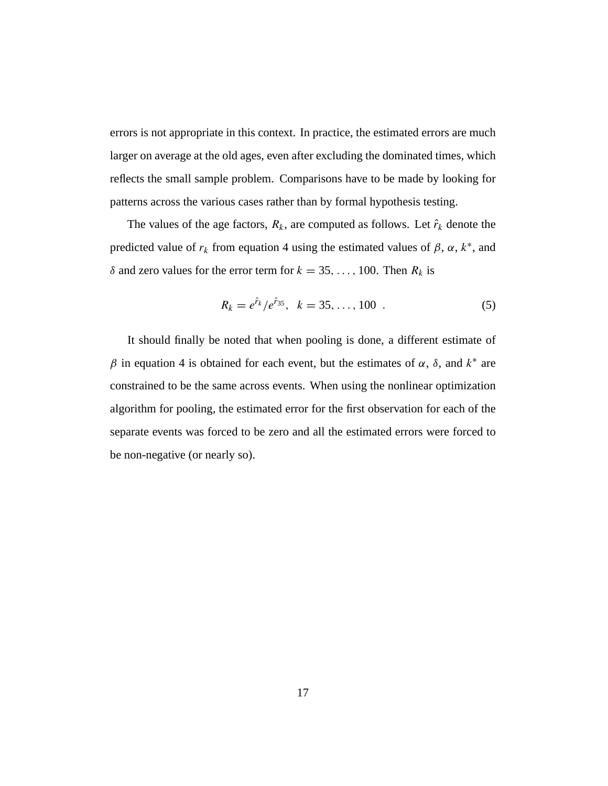errors is not appropriate in this context. In practice, the estimated errors are much larger on average at the old ages, even after excluding the dominated times, which reflects the small sample problem. Comparisons have to be made by looking for patterns across the various cases rather than by formal hypothesis testing.

The values of the age factors,  $R_k$ , are computed as follows. Let  $\hat{r}_k$  denote the predicted value of  $r_k$  from equation 4 using the estimated values of  $\beta$ ,  $\alpha$ ,  $k^*$ , and  $\delta$  and zero values for the error term for  $k = 35, \ldots, 100$ . Then  $R_k$  is

$$
R_k = e^{\hat{r}_k} / e^{\hat{r}_{35}}, \quad k = 35, \dots, 100 \quad . \tag{5}
$$

It should finally be noted that when pooling is done, a different estimate of  $β$  in equation 4 is obtained for each event, but the estimates of  $α$ ,  $δ$ , and  $k<sup>*</sup>$  are constrained to be the same across events. When using the nonlinear optimization algorithm for pooling, the estimated error for the first observation for each of the separate events was forced to be zero and all the estimated errors were forced to be non-negative (or nearly so).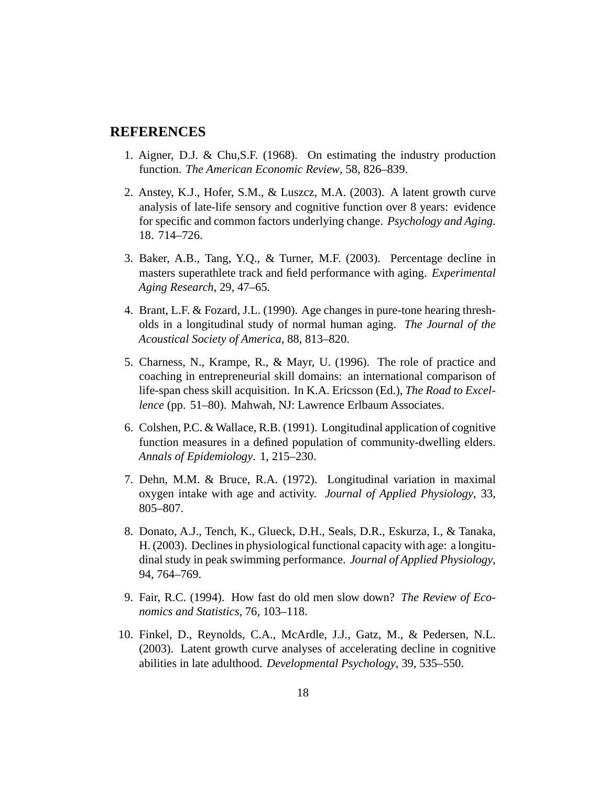#### **REFERENCES**

- 1. Aigner, D.J. & Chu,S.F. (1968). On estimating the industry production function. *The American Economic Review*, 58, 826–839.
- 2. Anstey, K.J., Hofer, S.M., & Luszcz, M.A. (2003). A latent growth curve analysis of late-life sensory and cognitive function over 8 years: evidence for specific and common factors underlying change. *Psychology and Aging*. 18. 714–726.
- 3. Baker, A.B., Tang, Y.Q., & Turner, M.F. (2003). Percentage decline in masters superathlete track and field performance with aging. *Experimental Aging Research*, 29, 47–65.
- 4. Brant, L.F. & Fozard, J.L. (1990). Age changes in pure-tone hearing thresholds in a longitudinal study of normal human aging. *The Journal of the Acoustical Society of America*, 88, 813–820.
- 5. Charness, N., Krampe, R., & Mayr, U. (1996). The role of practice and coaching in entrepreneurial skill domains: an international comparison of life-span chess skill acquisition. In K.A. Ericsson (Ed.), *The Road to Excellence* (pp. 51–80). Mahwah, NJ: Lawrence Erlbaum Associates.
- 6. Colshen, P.C. & Wallace, R.B. (1991). Longitudinal application of cognitive function measures in a defined population of community-dwelling elders. *Annals of Epidemiology*. 1, 215–230.
- 7. Dehn, M.M. & Bruce, R.A. (1972). Longitudinal variation in maximal oxygen intake with age and activity. *Journal of Applied Physiology*, 33, 805–807.
- 8. Donato, A.J., Tench, K., Glueck, D.H., Seals, D.R., Eskurza, I., & Tanaka, H. (2003). Declines in physiological functional capacity with age: a longitudinal study in peak swimming performance. *Journal of Applied Physiology*, 94, 764–769.
- 9. Fair, R.C. (1994). How fast do old men slow down? *The Review of Economics and Statistics*, 76, 103–118.
- 10. Finkel, D., Reynolds, C.A., McArdle, J.J., Gatz, M., & Pedersen, N.L. (2003). Latent growth curve analyses of accelerating decline in cognitive abilities in late adulthood. *Developmental Psychology*, 39, 535–550.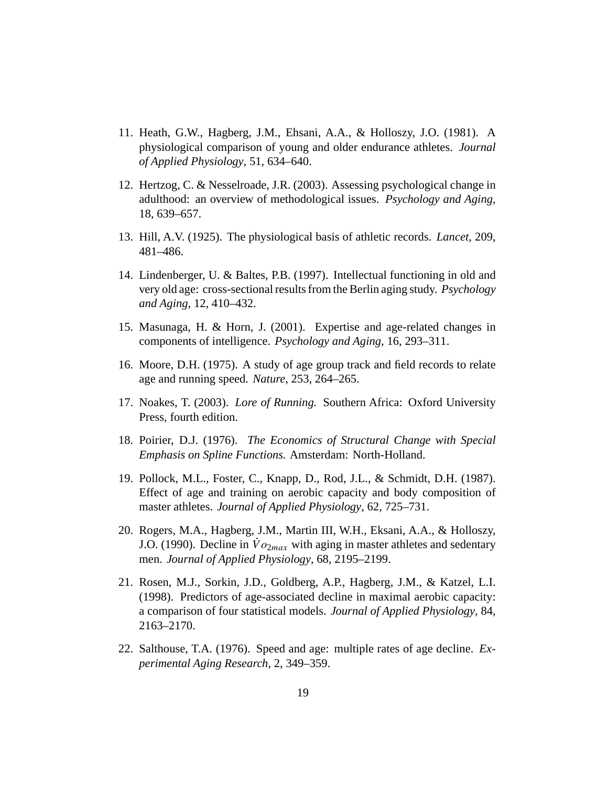- 11. Heath, G.W., Hagberg, J.M., Ehsani, A.A., & Holloszy, J.O. (1981). A physiological comparison of young and older endurance athletes. *Journal of Applied Physiology*, 51, 634–640.
- 12. Hertzog, C. & Nesselroade, J.R. (2003). Assessing psychological change in adulthood: an overview of methodological issues. *Psychology and Aging*, 18, 639–657.
- 13. Hill, A.V. (1925). The physiological basis of athletic records. *Lancet*, 209, 481–486.
- 14. Lindenberger, U. & Baltes, P.B. (1997). Intellectual functioning in old and very old age: cross-sectional results from the Berlin aging study. *Psychology and Aging*, 12, 410–432.
- 15. Masunaga, H. & Horn, J. (2001). Expertise and age-related changes in components of intelligence. *Psychology and Aging*, 16, 293–311.
- 16. Moore, D.H. (1975). A study of age group track and field records to relate age and running speed. *Nature*, 253, 264–265.
- 17. Noakes, T. (2003). *Lore of Running.* Southern Africa: Oxford University Press, fourth edition.
- 18. Poirier, D.J. (1976). *The Economics of Structural Change with Special Emphasis on Spline Functions.* Amsterdam: North-Holland.
- 19. Pollock, M.L., Foster, C., Knapp, D., Rod, J.L., & Schmidt, D.H. (1987). Effect of age and training on aerobic capacity and body composition of master athletes. *Journal of Applied Physiology*, 62, 725–731.
- 20. Rogers, M.A., Hagberg, J.M., Martin III, W.H., Eksani, A.A., & Holloszy, J.O. (1990). Decline in  $\dot{V}o_{2max}$  with aging in master athletes and sedentary men. *Journal of Applied Physiology*, 68, 2195–2199.
- 21. Rosen, M.J., Sorkin, J.D., Goldberg, A.P., Hagberg, J.M., & Katzel, L.I. (1998). Predictors of age-associated decline in maximal aerobic capacity: a comparison of four statistical models. *Journal of Applied Physiology*, 84, 2163–2170.
- 22. Salthouse, T.A. (1976). Speed and age: multiple rates of age decline. *Experimental Aging Research*, 2, 349–359.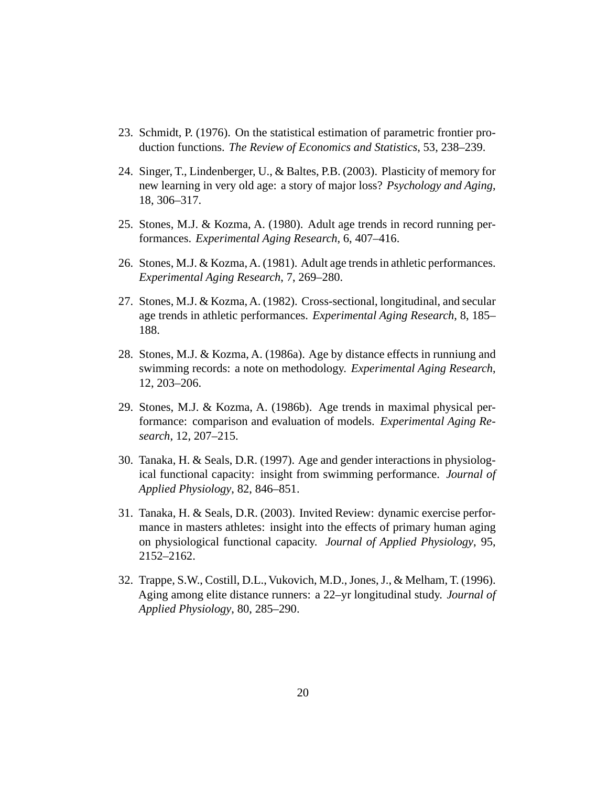- 23. Schmidt, P. (1976). On the statistical estimation of parametric frontier production functions. *The Review of Economics and Statistics*, 53, 238–239.
- 24. Singer, T., Lindenberger, U., & Baltes, P.B. (2003). Plasticity of memory for new learning in very old age: a story of major loss? *Psychology and Aging*, 18, 306–317.
- 25. Stones, M.J. & Kozma, A. (1980). Adult age trends in record running performances. *Experimental Aging Research*, 6, 407–416.
- 26. Stones, M.J. & Kozma, A. (1981). Adult age trends in athletic performances. *Experimental Aging Research*, 7, 269–280.
- 27. Stones, M.J. & Kozma, A. (1982). Cross-sectional, longitudinal, and secular age trends in athletic performances. *Experimental Aging Research*, 8, 185– 188.
- 28. Stones, M.J. & Kozma, A. (1986a). Age by distance effects in runniung and swimming records: a note on methodology. *Experimental Aging Research*, 12, 203–206.
- 29. Stones, M.J. & Kozma, A. (1986b). Age trends in maximal physical performance: comparison and evaluation of models. *Experimental Aging Research*, 12, 207–215.
- 30. Tanaka, H. & Seals, D.R. (1997). Age and gender interactions in physiological functional capacity: insight from swimming performance. *Journal of Applied Physiology*, 82, 846–851.
- 31. Tanaka, H. & Seals, D.R. (2003). Invited Review: dynamic exercise performance in masters athletes: insight into the effects of primary human aging on physiological functional capacity. *Journal of Applied Physiology*, 95, 2152–2162.
- 32. Trappe, S.W., Costill, D.L., Vukovich, M.D., Jones, J., & Melham, T. (1996). Aging among elite distance runners: a 22–yr longitudinal study. *Journal of Applied Physiology*, 80, 285–290.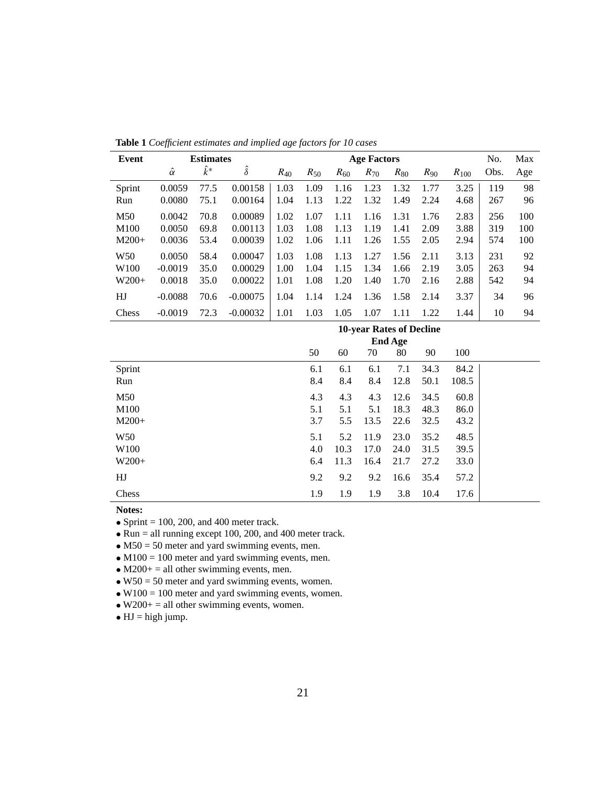| Event            |                | <b>Estimates</b> |                |          |          |          | <b>Age Factors</b> |          |          |           | No.  | Max |
|------------------|----------------|------------------|----------------|----------|----------|----------|--------------------|----------|----------|-----------|------|-----|
|                  | $\hat{\alpha}$ | $k^*$            | $\hat{\delta}$ | $R_{40}$ | $R_{50}$ | $R_{60}$ | $R_{70}$           | $R_{80}$ | $R_{90}$ | $R_{100}$ | Obs. | Age |
| Sprint           | 0.0059         | 77.5             | 0.00158        | 1.03     | 1.09     | 1.16     | 1.23               | 1.32     | 1.77     | 3.25      | 119  | 98  |
| Run              | 0.0080         | 75.1             | 0.00164        | 1.04     | 1.13     | 1.22     | 1.32               | 1.49     | 2.24     | 4.68      | 267  | 96  |
| M50              | 0.0042         | 70.8             | 0.00089        | 1.02     | 1.07     | 1.11     | 1.16               | 1.31     | 1.76     | 2.83      | 256  | 100 |
| M <sub>100</sub> | 0.0050         | 69.8             | 0.00113        | 1.03     | 1.08     | 1.13     | 1.19               | 1.41     | 2.09     | 3.88      | 319  | 100 |
| $M200+$          | 0.0036         | 53.4             | 0.00039        | 1.02     | 1.06     | 1.11     | 1.26               | 1.55     | 2.05     | 2.94      | 574  | 100 |
| W <sub>50</sub>  | 0.0050         | 58.4             | 0.00047        | 1.03     | 1.08     | 1.13     | 1.27               | 1.56     | 2.11     | 3.13      | 231  | 92  |
| W <sub>100</sub> | $-0.0019$      | 35.0             | 0.00029        | 1.00     | 1.04     | 1.15     | 1.34               | 1.66     | 2.19     | 3.05      | 263  | 94  |
| $W200+$          | 0.0018         | 35.0             | 0.00022        | 1.01     | 1.08     | 1.20     | 1.40               | 1.70     | 2.16     | 2.88      | 542  | 94  |
| HJ               | $-0.0088$      | 70.6             | $-0.00075$     | 1.04     | 1.14     | 1.24     | 1.36               | 1.58     | 2.14     | 3.37      | 34   | 96  |
| Chess            | $-0.0019$      | 72.3             | $-0.00032$     | 1.01     | 1.03     | 1.05     | 1.07               | 1.11     | 1.22     | 1.44      | 10   | 94  |

**Table 1** *Coefficient estimates and implied age factors for 10 cases*

|                  | 10-year Rates of Decline<br><b>End Age</b> |      |      |      |      |       |  |  |  |  |
|------------------|--------------------------------------------|------|------|------|------|-------|--|--|--|--|
|                  | 50                                         | 60   | 70   | 80   | 90   | 100   |  |  |  |  |
| Sprint           | 6.1                                        | 6.1  | 6.1  | 7.1  | 34.3 | 84.2  |  |  |  |  |
| Run              | 8.4                                        | 8.4  | 8.4  | 12.8 | 50.1 | 108.5 |  |  |  |  |
| M50              | 4.3                                        | 4.3  | 4.3  | 12.6 | 34.5 | 60.8  |  |  |  |  |
| M100             | 5.1                                        | 5.1  | 5.1  | 18.3 | 48.3 | 86.0  |  |  |  |  |
| $M200+$          | 3.7                                        | 5.5  | 13.5 | 22.6 | 32.5 | 43.2  |  |  |  |  |
| W <sub>50</sub>  | 5.1                                        | 5.2  | 11.9 | 23.0 | 35.2 | 48.5  |  |  |  |  |
| W <sub>100</sub> | 4.0                                        | 10.3 | 17.0 | 24.0 | 31.5 | 39.5  |  |  |  |  |
| $W200+$          | 6.4                                        | 11.3 | 16.4 | 21.7 | 27.2 | 33.0  |  |  |  |  |
| HJ               | 9.2                                        | 9.2  | 9.2  | 16.6 | 35.4 | 57.2  |  |  |  |  |
| Chess            | 1.9                                        | 1.9  | 1.9  | 3.8  | 10.4 | 17.6  |  |  |  |  |

• Sprint  $= 100, 200,$  and 400 meter track.

• Run = all running except 100, 200, and 400 meter track.

•  $M50 = 50$  meter and yard swimming events, men.

•  $M100 = 100$  meter and yard swimming events, men.

•  $M200+$  = all other swimming events, men.

•  $W50 = 50$  meter and yard swimming events, women.

•  $W100 = 100$  meter and yard swimming events, women.

•  $W200+ =$  all other swimming events, women.

 $\bullet$  HJ = high jump.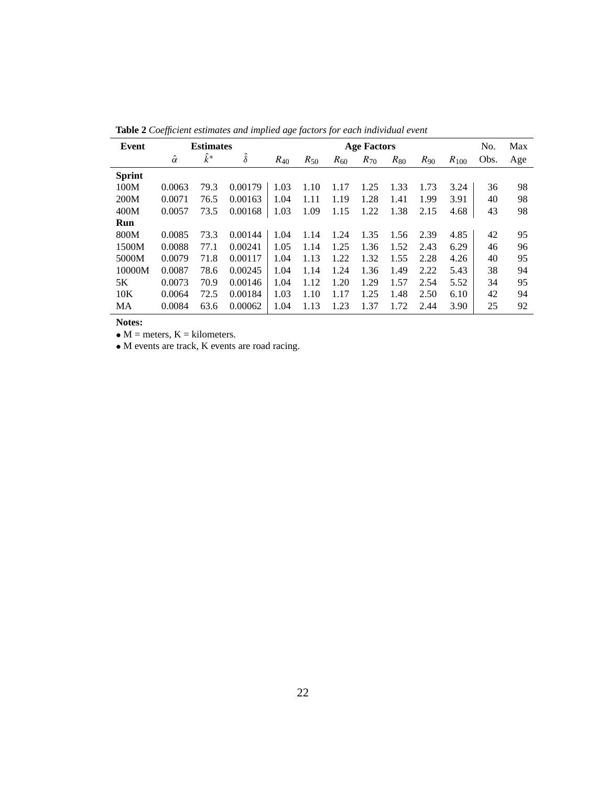| Event         |                | <b>Estimates</b> |                |          |          |          | <b>Age Factors</b> |          |          |           | No.  | Max |
|---------------|----------------|------------------|----------------|----------|----------|----------|--------------------|----------|----------|-----------|------|-----|
|               | $\hat{\alpha}$ | $k^*$            | $\hat{\delta}$ | $R_{40}$ | $R_{50}$ | $R_{60}$ | $R_{70}$           | $R_{80}$ | $R_{90}$ | $R_{100}$ | Obs. | Age |
| <b>Sprint</b> |                |                  |                |          |          |          |                    |          |          |           |      |     |
| 100M          | 0.0063         | 79.3             | 0.00179        | 1.03     | 1.10     | 1.17     | 1.25               | 1.33     | 1.73     | 3.24      | 36   | 98  |
| 200M          | 0.0071         | 76.5             | 0.00163        | 1.04     | 1.11     | 1.19     | 1.28               | 1.41     | 1.99     | 3.91      | 40   | 98  |
| 400M          | 0.0057         | 73.5             | 0.00168        | 1.03     | 1.09     | 1.15     | 1.22               | 1.38     | 2.15     | 4.68      | 43   | 98  |
| Run           |                |                  |                |          |          |          |                    |          |          |           |      |     |
| 800M          | 0.0085         | 73.3             | 0.00144        | 1.04     | 1.14     | 1.24     | 1.35               | 1.56     | 2.39     | 4.85      | 42   | 95  |
| 1500M         | 0.0088         | 77.1             | 0.00241        | 1.05     | 1.14     | 1.25     | 1.36               | 1.52     | 2.43     | 6.29      | 46   | 96  |
| 5000M         | 0.0079         | 71.8             | 0.00117        | 1.04     | 1.13     | 1.22     | 1.32               | 1.55     | 2.28     | 4.26      | 40   | 95  |
| 10000M        | 0.0087         | 78.6             | 0.00245        | 1.04     | 1.14     | 1.24     | 1.36               | 1.49     | 2.22     | 5.43      | 38   | 94  |
| 5K            | 0.0073         | 70.9             | 0.00146        | 1.04     | 1.12     | 1.20     | 1.29               | 1.57     | 2.54     | 5.52      | 34   | 95  |
| 10K           | 0.0064         | 72.5             | 0.00184        | 1.03     | 1.10     | 1.17     | 1.25               | 1.48     | 2.50     | 6.10      | 42   | 94  |
| MA            | 0.0084         | 63.6             | 0.00062        | 1.04     | 1.13     | 1.23     | 1.37               | 1.72     | 2.44     | 3.90      | 25   | 92  |

**Table 2** *Coefficient estimates and implied age factors for each individual event*

•  $M$  = meters,  $K$  = kilometers.

• M events are track, K events are road racing.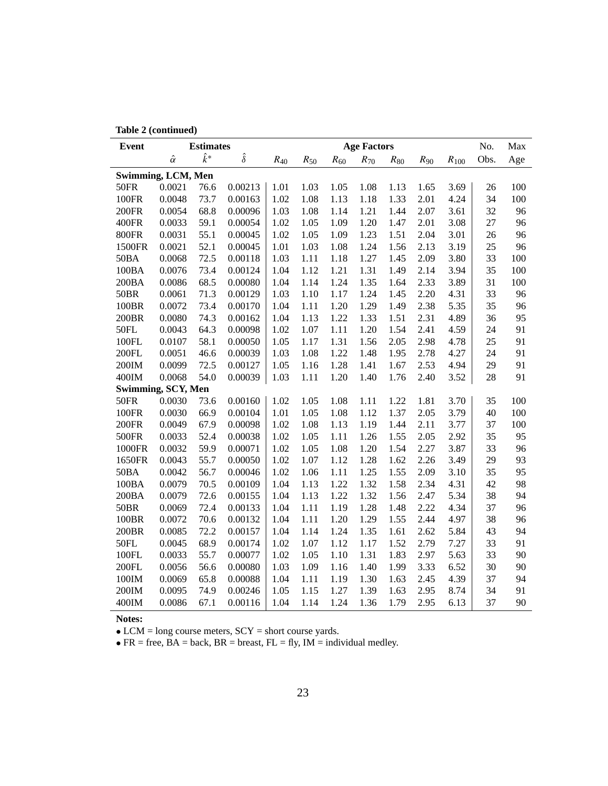|  | Table 2 (continued) |  |
|--|---------------------|--|
|--|---------------------|--|

| <b>Event</b> |                    | <b>Estimates</b> |                |          |                 |          | <b>Age Factors</b> |          |          |           | No.  | Max |
|--------------|--------------------|------------------|----------------|----------|-----------------|----------|--------------------|----------|----------|-----------|------|-----|
|              | $\hat{\alpha}$     | $\hat{k}^*$      | $\hat{\delta}$ | $R_{40}$ | $R_\mathrm{50}$ | $R_{60}$ | $R_{70}$           | $R_{80}$ | $R_{90}$ | $R_{100}$ | Obs. | Age |
|              | Swimming, LCM, Men |                  |                |          |                 |          |                    |          |          |           |      |     |
| <b>50FR</b>  | 0.0021             | 76.6             | 0.00213        | 1.01     | 1.03            | 1.05     | 1.08               | 1.13     | 1.65     | 3.69      | 26   | 100 |
| 100FR        | 0.0048             | 73.7             | 0.00163        | 1.02     | 1.08            | 1.13     | 1.18               | 1.33     | 2.01     | 4.24      | 34   | 100 |
| 200FR        | 0.0054             | 68.8             | 0.00096        | 1.03     | 1.08            | 1.14     | 1.21               | 1.44     | 2.07     | 3.61      | 32   | 96  |
| 400FR        | 0.0033             | 59.1             | 0.00054        | 1.02     | 1.05            | 1.09     | 1.20               | 1.47     | 2.01     | 3.08      | 27   | 96  |
| 800FR        | 0.0031             | 55.1             | 0.00045        | 1.02     | 1.05            | 1.09     | 1.23               | 1.51     | 2.04     | 3.01      | 26   | 96  |
| 1500FR       | 0.0021             | 52.1             | 0.00045        | 1.01     | 1.03            | 1.08     | 1.24               | 1.56     | 2.13     | 3.19      | 25   | 96  |
| 50BA         | 0.0068             | 72.5             | 0.00118        | 1.03     | 1.11            | 1.18     | 1.27               | 1.45     | 2.09     | 3.80      | 33   | 100 |
| 100BA        | 0.0076             | 73.4             | 0.00124        | 1.04     | 1.12            | 1.21     | 1.31               | 1.49     | 2.14     | 3.94      | 35   | 100 |
| 200BA        | 0.0086             | 68.5             | 0.00080        | 1.04     | 1.14            | 1.24     | 1.35               | 1.64     | 2.33     | 3.89      | 31   | 100 |
| <b>50BR</b>  | 0.0061             | 71.3             | 0.00129        | 1.03     | 1.10            | 1.17     | 1.24               | 1.45     | 2.20     | 4.31      | 33   | 96  |
| 100BR        | 0.0072             | 73.4             | 0.00170        | 1.04     | 1.11            | 1.20     | 1.29               | 1.49     | 2.38     | 5.35      | 35   | 96  |
| 200BR        | 0.0080             | 74.3             | 0.00162        | 1.04     | 1.13            | 1.22     | 1.33               | 1.51     | 2.31     | 4.89      | 36   | 95  |
| <b>50FL</b>  | 0.0043             | 64.3             | 0.00098        | 1.02     | 1.07            | 1.11     | 1.20               | 1.54     | 2.41     | 4.59      | 24   | 91  |
| 100FL        | 0.0107             | 58.1             | 0.00050        | 1.05     | 1.17            | 1.31     | 1.56               | 2.05     | 2.98     | 4.78      | 25   | 91  |
| 200FL        | 0.0051             | 46.6             | 0.00039        | 1.03     | 1.08            | 1.22     | 1.48               | 1.95     | 2.78     | 4.27      | 24   | 91  |
| 200IM        | 0.0099             | 72.5             | 0.00127        | 1.05     | 1.16            | 1.28     | 1.41               | 1.67     | 2.53     | 4.94      | 29   | 91  |
| 400IM        | 0.0068             | 54.0             | 0.00039        | 1.03     | 1.11            | 1.20     | 1.40               | 1.76     | 2.40     | 3.52      | 28   | 91  |
|              | Swimming, SCY, Men |                  |                |          |                 |          |                    |          |          |           |      |     |
| <b>50FR</b>  | 0.0030             | 73.6             | 0.00160        | 1.02     | 1.05            | 1.08     | 1.11               | 1.22     | 1.81     | 3.70      | 35   | 100 |
| 100FR        | 0.0030             | 66.9             | 0.00104        | 1.01     | 1.05            | 1.08     | 1.12               | 1.37     | 2.05     | 3.79      | 40   | 100 |
| 200FR        | 0.0049             | 67.9             | 0.00098        | 1.02     | 1.08            | 1.13     | 1.19               | 1.44     | 2.11     | 3.77      | 37   | 100 |
| 500FR        | 0.0033             | 52.4             | 0.00038        | 1.02     | 1.05            | 1.11     | 1.26               | 1.55     | 2.05     | 2.92      | 35   | 95  |
| 1000FR       | 0.0032             | 59.9             | 0.00071        | 1.02     | 1.05            | 1.08     | 1.20               | 1.54     | 2.27     | 3.87      | 33   | 96  |
| 1650FR       | 0.0043             | 55.7             | 0.00050        | 1.02     | 1.07            | 1.12     | 1.28               | 1.62     | 2.26     | 3.49      | 29   | 93  |
| 50BA         | 0.0042             | 56.7             | 0.00046        | 1.02     | 1.06            | 1.11     | 1.25               | 1.55     | 2.09     | 3.10      | 35   | 95  |
| 100BA        | 0.0079             | 70.5             | 0.00109        | 1.04     | 1.13            | 1.22     | 1.32               | 1.58     | 2.34     | 4.31      | 42   | 98  |
| 200BA        | 0.0079             | 72.6             | 0.00155        | 1.04     | 1.13            | 1.22     | 1.32               | 1.56     | 2.47     | 5.34      | 38   | 94  |
| <b>50BR</b>  | 0.0069             | 72.4             | 0.00133        | 1.04     | 1.11            | 1.19     | 1.28               | 1.48     | 2.22     | 4.34      | 37   | 96  |
| 100BR        | 0.0072             | 70.6             | 0.00132        | 1.04     | 1.11            | 1.20     | 1.29               | 1.55     | 2.44     | 4.97      | 38   | 96  |
| 200BR        | 0.0085             | 72.2             | 0.00157        | 1.04     | 1.14            | 1.24     | 1.35               | 1.61     | 2.62     | 5.84      | 43   | 94  |
| 50FL         | 0.0045             | 68.9             | 0.00174        | 1.02     | 1.07            | 1.12     | 1.17               | 1.52     | 2.79     | 7.27      | 33   | 91  |
| 100FL        | 0.0033             | 55.7             | 0.00077        | 1.02     | 1.05            | 1.10     | 1.31               | 1.83     | 2.97     | 5.63      | 33   | 90  |
| 200FL        | 0.0056             | 56.6             | 0.00080        | 1.03     | 1.09            | 1.16     | 1.40               | 1.99     | 3.33     | 6.52      | 30   | 90  |
| 100IM        | 0.0069             | 65.8             | 0.00088        | 1.04     | 1.11            | 1.19     | 1.30               | 1.63     | 2.45     | 4.39      | 37   | 94  |
| 200IM        | 0.0095             | 74.9             | 0.00246        | 1.05     | 1.15            | 1.27     | 1.39               | 1.63     | 2.95     | 8.74      | 34   | 91  |
| 400IM        | 0.0086             | 67.1             | 0.00116        | 1.04     | 1.14            | 1.24     | 1.36               | 1.79     | 2.95     | 6.13      | 37   | 90  |

• LCM = long course meters, SCY = short course yards.

• FR = free,  $\overline{BA}$  = back,  $\overline{BR}$  = breast,  $\overline{FL}$  = fly,  $\overline{IM}$  = individual medley.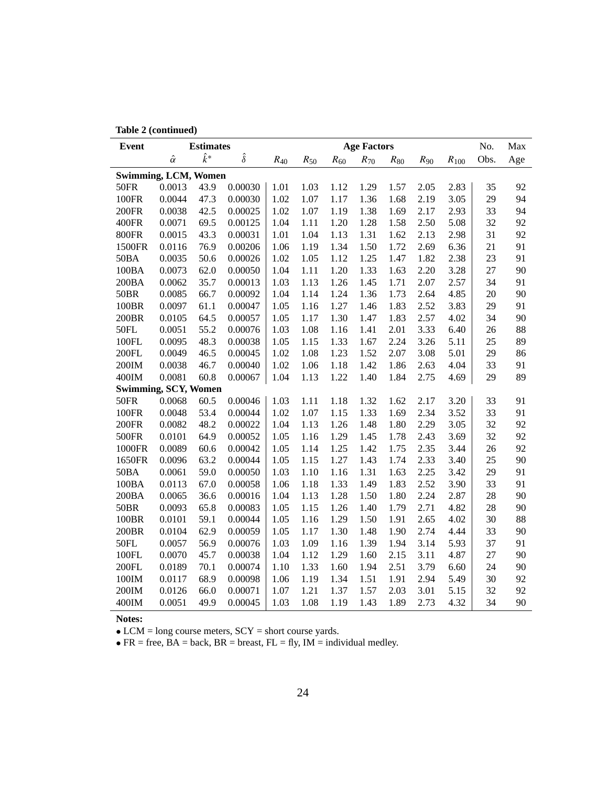|  | Table 2 (continued) |  |
|--|---------------------|--|
|--|---------------------|--|

| <b>Event</b> |                             | <b>Estimates</b> |                |          |          |          | <b>Age Factors</b> |          |          |           | No.  | Max |
|--------------|-----------------------------|------------------|----------------|----------|----------|----------|--------------------|----------|----------|-----------|------|-----|
|              | $\hat{\alpha}$              | $\hat{k}^*$      | $\hat{\delta}$ | $R_{40}$ | $R_{50}$ | $R_{60}$ | $R_{70}$           | $R_{80}$ | $R_{90}$ | $R_{100}$ | Obs. | Age |
|              | <b>Swimming, LCM, Women</b> |                  |                |          |          |          |                    |          |          |           |      |     |
| 50FR         | 0.0013                      | 43.9             | 0.00030        | 1.01     | 1.03     | 1.12     | 1.29               | 1.57     | 2.05     | 2.83      | 35   | 92  |
| <b>100FR</b> | 0.0044                      | 47.3             | 0.00030        | 1.02     | 1.07     | 1.17     | 1.36               | 1.68     | 2.19     | 3.05      | 29   | 94  |
| 200FR        | 0.0038                      | 42.5             | 0.00025        | 1.02     | 1.07     | 1.19     | 1.38               | 1.69     | 2.17     | 2.93      | 33   | 94  |
| 400FR        | 0.0071                      | 69.5             | 0.00125        | 1.04     | 1.11     | 1.20     | 1.28               | 1.58     | 2.50     | 5.08      | 32   | 92  |
| 800FR        | 0.0015                      | 43.3             | 0.00031        | 1.01     | 1.04     | 1.13     | 1.31               | 1.62     | 2.13     | 2.98      | 31   | 92  |
| 1500FR       | 0.0116                      | 76.9             | 0.00206        | 1.06     | 1.19     | 1.34     | 1.50               | 1.72     | 2.69     | 6.36      | 21   | 91  |
| 50BA         | 0.0035                      | 50.6             | 0.00026        | 1.02     | 1.05     | 1.12     | 1.25               | 1.47     | 1.82     | 2.38      | 23   | 91  |
| 100BA        | 0.0073                      | 62.0             | 0.00050        | 1.04     | 1.11     | 1.20     | 1.33               | 1.63     | 2.20     | 3.28      | 27   | 90  |
| 200BA        | 0.0062                      | 35.7             | 0.00013        | 1.03     | 1.13     | 1.26     | 1.45               | 1.71     | 2.07     | 2.57      | 34   | 91  |
| <b>50BR</b>  | 0.0085                      | 66.7             | 0.00092        | 1.04     | 1.14     | 1.24     | 1.36               | 1.73     | 2.64     | 4.85      | 20   | 90  |
| 100BR        | 0.0097                      | 61.1             | 0.00047        | 1.05     | 1.16     | 1.27     | 1.46               | 1.83     | 2.52     | 3.83      | 29   | 91  |
| 200BR        | 0.0105                      | 64.5             | 0.00057        | 1.05     | 1.17     | 1.30     | 1.47               | 1.83     | 2.57     | 4.02      | 34   | 90  |
| 50FL         | 0.0051                      | 55.2             | 0.00076        | 1.03     | 1.08     | 1.16     | 1.41               | 2.01     | 3.33     | 6.40      | 26   | 88  |
| 100FL        | 0.0095                      | 48.3             | 0.00038        | 1.05     | 1.15     | 1.33     | 1.67               | 2.24     | 3.26     | 5.11      | 25   | 89  |
| 200FL        | 0.0049                      | 46.5             | 0.00045        | 1.02     | 1.08     | 1.23     | 1.52               | 2.07     | 3.08     | 5.01      | 29   | 86  |
| 200IM        | 0.0038                      | 46.7             | 0.00040        | 1.02     | 1.06     | 1.18     | 1.42               | 1.86     | 2.63     | 4.04      | 33   | 91  |
| 400IM        | 0.0081                      | 60.8             | 0.00067        | 1.04     | 1.13     | 1.22     | 1.40               | 1.84     | 2.75     | 4.69      | 29   | 89  |
|              | <b>Swimming, SCY, Women</b> |                  |                |          |          |          |                    |          |          |           |      |     |
| <b>50FR</b>  | 0.0068                      | 60.5             | 0.00046        | 1.03     | 1.11     | 1.18     | 1.32               | 1.62     | 2.17     | 3.20      | 33   | 91  |
| <b>100FR</b> | 0.0048                      | 53.4             | 0.00044        | 1.02     | 1.07     | 1.15     | 1.33               | 1.69     | 2.34     | 3.52      | 33   | 91  |
| 200FR        | 0.0082                      | 48.2             | 0.00022        | 1.04     | 1.13     | 1.26     | 1.48               | 1.80     | 2.29     | 3.05      | 32   | 92  |
| 500FR        | 0.0101                      | 64.9             | 0.00052        | 1.05     | 1.16     | 1.29     | 1.45               | 1.78     | 2.43     | 3.69      | 32   | 92  |
| 1000FR       | 0.0089                      | 60.6             | 0.00042        | 1.05     | 1.14     | 1.25     | 1.42               | 1.75     | 2.35     | 3.44      | 26   | 92  |
| 1650FR       | 0.0096                      | 63.2             | 0.00044        | 1.05     | 1.15     | 1.27     | 1.43               | 1.74     | 2.33     | 3.40      | 25   | 90  |
| 50BA         | 0.0061                      | 59.0             | 0.00050        | 1.03     | 1.10     | 1.16     | 1.31               | 1.63     | 2.25     | 3.42      | 29   | 91  |
| 100BA        | 0.0113                      | 67.0             | 0.00058        | 1.06     | 1.18     | 1.33     | 1.49               | 1.83     | 2.52     | 3.90      | 33   | 91  |
| 200BA        | 0.0065                      | 36.6             | 0.00016        | 1.04     | 1.13     | 1.28     | 1.50               | 1.80     | 2.24     | 2.87      | 28   | 90  |
| <b>50BR</b>  | 0.0093                      | 65.8             | 0.00083        | 1.05     | 1.15     | 1.26     | 1.40               | 1.79     | 2.71     | 4.82      | 28   | 90  |
| 100BR        | 0.0101                      | 59.1             | 0.00044        | 1.05     | 1.16     | 1.29     | 1.50               | 1.91     | 2.65     | 4.02      | 30   | 88  |
| 200BR        | 0.0104                      | 62.9             | 0.00059        | 1.05     | 1.17     | 1.30     | 1.48               | 1.90     | 2.74     | 4.44      | 33   | 90  |
| 50FL         | 0.0057                      | 56.9             | 0.00076        | 1.03     | 1.09     | 1.16     | 1.39               | 1.94     | 3.14     | 5.93      | 37   | 91  |
| 100FL        | 0.0070                      | 45.7             | 0.00038        | 1.04     | 1.12     | 1.29     | 1.60               | 2.15     | 3.11     | 4.87      | 27   | 90  |
| 200FL        | 0.0189                      | 70.1             | 0.00074        | 1.10     | 1.33     | 1.60     | 1.94               | 2.51     | 3.79     | 6.60      | 24   | 90  |
| 100IM        | 0.0117                      | 68.9             | 0.00098        | 1.06     | 1.19     | 1.34     | 1.51               | 1.91     | 2.94     | 5.49      | 30   | 92  |
| 200IM        | 0.0126                      | 66.0             | 0.00071        | 1.07     | 1.21     | 1.37     | 1.57               | 2.03     | 3.01     | 5.15      | 32   | 92  |
| 400IM        | 0.0051                      | 49.9             | 0.00045        | 1.03     | 1.08     | 1.19     | 1.43               | 1.89     | 2.73     | 4.32      | 34   | 90  |

• LCM = long course meters, SCY = short course yards.

• FR = free,  $\overline{BA}$  = back,  $\overline{BR}$  = breast,  $\overline{FL}$  = fly,  $\overline{IM}$  = individual medley.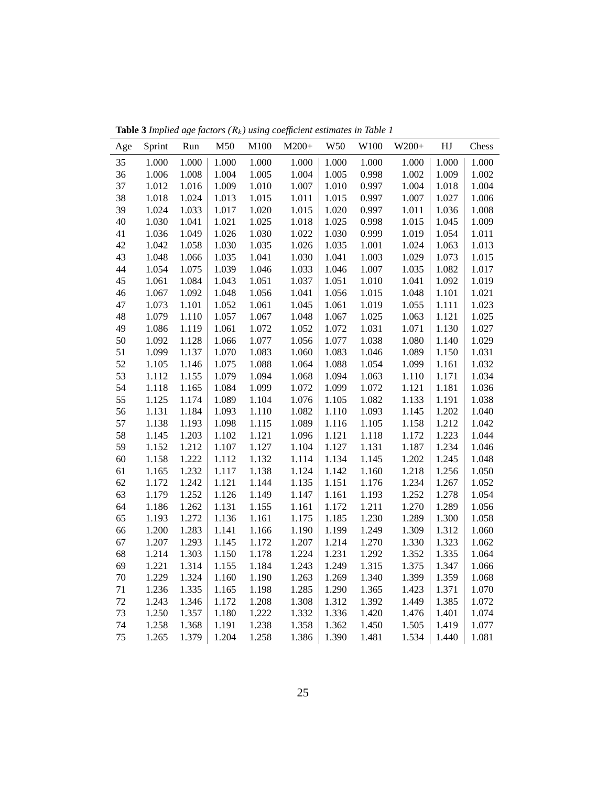| Age | Sprint | Run   | M50       | M100  | $M200+$ | W50   | W100  | $W200+$ | $\rm{H}J$ | Chess |
|-----|--------|-------|-----------|-------|---------|-------|-------|---------|-----------|-------|
| 35  | 1.000  | 1.000 | 1.000     | 1.000 | 1.000   | 1.000 | 1.000 | 1.000   | 1.000     | 1.000 |
| 36  | 1.006  | 1.008 | 1.004     | 1.005 | 1.004   | 1.005 | 0.998 | 1.002   | 1.009     | 1.002 |
| 37  | 1.012  | 1.016 | 1.009     | 1.010 | 1.007   | 1.010 | 0.997 | 1.004   | 1.018     | 1.004 |
| 38  | 1.018  | 1.024 | 1.013     | 1.015 | 1.011   | 1.015 | 0.997 | 1.007   | 1.027     | 1.006 |
| 39  | 1.024  | 1.033 | 1.017     | 1.020 | 1.015   | 1.020 | 0.997 | 1.011   | 1.036     | 1.008 |
| 40  | 1.030  | 1.041 | 1.021     | 1.025 | 1.018   | 1.025 | 0.998 | 1.015   | 1.045     | 1.009 |
| 41  | 1.036  | 1.049 | 1.026     | 1.030 | 1.022   | 1.030 | 0.999 | 1.019   | 1.054     | 1.011 |
| 42  | 1.042  | 1.058 | 1.030     | 1.035 | 1.026   | 1.035 | 1.001 | 1.024   | 1.063     | 1.013 |
| 43  | 1.048  | 1.066 | 1.035     | 1.041 | 1.030   | 1.041 | 1.003 | 1.029   | 1.073     | 1.015 |
| 44  | 1.054  | 1.075 | 1.039     | 1.046 | 1.033   | 1.046 | 1.007 | 1.035   | 1.082     | 1.017 |
| 45  | 1.061  | 1.084 | 1.043     | 1.051 | 1.037   | 1.051 | 1.010 | 1.041   | 1.092     | 1.019 |
| 46  | 1.067  | 1.092 | 1.048     | 1.056 | 1.041   | 1.056 | 1.015 | 1.048   | 1.101     | 1.021 |
| 47  | 1.073  | 1.101 | 1.052     | 1.061 | 1.045   | 1.061 | 1.019 | 1.055   | 1.111     | 1.023 |
| 48  | 1.079  | 1.110 | 1.057     | 1.067 | 1.048   | 1.067 | 1.025 | 1.063   | 1.121     | 1.025 |
| 49  | 1.086  | 1.119 | 1.061     | 1.072 | 1.052   | 1.072 | 1.031 | 1.071   | 1.130     | 1.027 |
| 50  | 1.092  | 1.128 | 1.066     | 1.077 | 1.056   | 1.077 | 1.038 | 1.080   | 1.140     | 1.029 |
| 51  | 1.099  | 1.137 | 1.070     | 1.083 | 1.060   | 1.083 | 1.046 | 1.089   | 1.150     | 1.031 |
| 52  | 1.105  | 1.146 | 1.075     | 1.088 | 1.064   | 1.088 | 1.054 | 1.099   | 1.161     | 1.032 |
| 53  | 1.112  | 1.155 | 1.079     | 1.094 | 1.068   | 1.094 | 1.063 | 1.110   | 1.171     | 1.034 |
| 54  | 1.118  | 1.165 | 1.084     | 1.099 | 1.072   | 1.099 | 1.072 | 1.121   | 1.181     | 1.036 |
| 55  | 1.125  | 1.174 | 1.089     | 1.104 | 1.076   | 1.105 | 1.082 | 1.133   | 1.191     | 1.038 |
| 56  | 1.131  | 1.184 | 1.093     | 1.110 | 1.082   | 1.110 | 1.093 | 1.145   | 1.202     | 1.040 |
| 57  | 1.138  | 1.193 | 1.098     | 1.115 | 1.089   | 1.116 | 1.105 | 1.158   | 1.212     | 1.042 |
| 58  | 1.145  | 1.203 | 1.102     | 1.121 | 1.096   | 1.121 | 1.118 | 1.172   | 1.223     | 1.044 |
| 59  | 1.152  | 1.212 | 1.107     | 1.127 | 1.104   | 1.127 | 1.131 | 1.187   | 1.234     | 1.046 |
| 60  | 1.158  | 1.222 | 1.112     | 1.132 | 1.114   | 1.134 | 1.145 | 1.202   | 1.245     | 1.048 |
| 61  | 1.165  | 1.232 | 1.117     | 1.138 | 1.124   | 1.142 | 1.160 | 1.218   | 1.256     | 1.050 |
| 62  | 1.172  | 1.242 | 1.121     | 1.144 | 1.135   | 1.151 | 1.176 | 1.234   | 1.267     | 1.052 |
| 63  | 1.179  | 1.252 | 1.126     | 1.149 | 1.147   | 1.161 | 1.193 | 1.252   | 1.278     | 1.054 |
| 64  | 1.186  | 1.262 | 1.131     | 1.155 | 1.161   | 1.172 | 1.211 | 1.270   | 1.289     | 1.056 |
| 65  | 1.193  | 1.272 | 1.136     | 1.161 | 1.175   | 1.185 | 1.230 | 1.289   | 1.300     | 1.058 |
| 66  | 1.200  | 1.283 | 1.141     | 1.166 | 1.190   | 1.199 | 1.249 | 1.309   | 1.312     | 1.060 |
| 67  | 1.207  | 1.293 | 1.145     | 1.172 | 1.207   | 1.214 | 1.270 | 1.330   | 1.323     | 1.062 |
| 68  | 1.214  | 1.303 | 1.150     | 1.178 | 1.224   | 1.231 | 1.292 | 1.352   | 1.335     | 1.064 |
| 69  | 1.221  | 1.314 | 1.155     | 1.184 | 1.243   | 1.249 | 1.315 | 1.375   | 1.347     | 1.066 |
| 70  | 1.229  | 1.324 | 1.160     | 1.190 | 1.263   | 1.269 | 1.340 | 1.399   | 1.359     | 1.068 |
| 71  | 1.236  | 1.335 | 1.165     | 1.198 | 1.285   | 1.290 | 1.365 | 1.423   | 1.371     | 1.070 |
| 72  | 1.243  | 1.346 | 1.172     | 1.208 | 1.308   | 1.312 | 1.392 | 1.449   | 1.385     | 1.072 |
| 73  | 1.250  | 1.357 | $1.180\,$ | 1.222 | 1.332   | 1.336 | 1.420 | 1.476   | 1.401     | 1.074 |
| 74  | 1.258  | 1.368 | 1.191     | 1.238 | 1.358   | 1.362 | 1.450 | 1.505   | 1.419     | 1.077 |
| 75  | 1.265  | 1.379 | 1.204     | 1.258 | 1.386   | 1.390 | 1.481 | 1.534   | 1.440     | 1.081 |

**Table 3** *Implied age factors (*Rk*) using coefficient estimates in Table 1*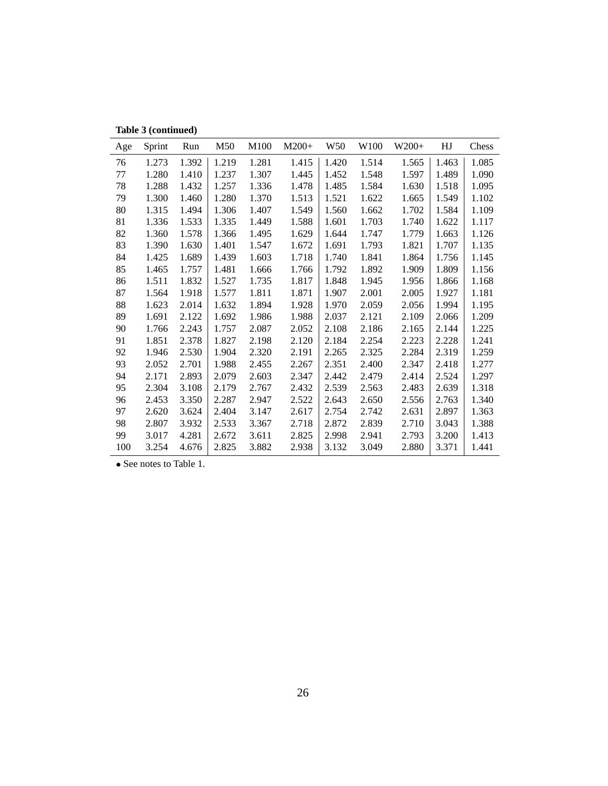**Table 3 (continued)**

| Age | Sprint | Run   | M50   | M100  | $M200+$ | W50   | W <sub>100</sub> | $W200+$ | HJ    | Chess |
|-----|--------|-------|-------|-------|---------|-------|------------------|---------|-------|-------|
| 76  | 1.273  | 1.392 | 1.219 | 1.281 | 1.415   | 1.420 | 1.514            | 1.565   | 1.463 | 1.085 |
| 77  | 1.280  | 1.410 | 1.237 | 1.307 | 1.445   | 1.452 | 1.548            | 1.597   | 1.489 | 1.090 |
| 78  | 1.288  | 1.432 | 1.257 | 1.336 | 1.478   | 1.485 | 1.584            | 1.630   | 1.518 | 1.095 |
| 79  | 1.300  | 1.460 | 1.280 | 1.370 | 1.513   | 1.521 | 1.622            | 1.665   | 1.549 | 1.102 |
| 80  | 1.315  | 1.494 | 1.306 | 1.407 | 1.549   | 1.560 | 1.662            | 1.702   | 1.584 | 1.109 |
| 81  | 1.336  | 1.533 | 1.335 | 1.449 | 1.588   | 1.601 | 1.703            | 1.740   | 1.622 | 1.117 |
| 82  | 1.360  | 1.578 | 1.366 | 1.495 | 1.629   | 1.644 | 1.747            | 1.779   | 1.663 | 1.126 |
| 83  | 1.390  | 1.630 | 1.401 | 1.547 | 1.672   | 1.691 | 1.793            | 1.821   | 1.707 | 1.135 |
| 84  | 1.425  | 1.689 | 1.439 | 1.603 | 1.718   | 1.740 | 1.841            | 1.864   | 1.756 | 1.145 |
| 85  | 1.465  | 1.757 | 1.481 | 1.666 | 1.766   | 1.792 | 1.892            | 1.909   | 1.809 | 1.156 |
| 86  | 1.511  | 1.832 | 1.527 | 1.735 | 1.817   | 1.848 | 1.945            | 1.956   | 1.866 | 1.168 |
| 87  | 1.564  | 1.918 | 1.577 | 1.811 | 1.871   | 1.907 | 2.001            | 2.005   | 1.927 | 1.181 |
| 88  | 1.623  | 2.014 | 1.632 | 1.894 | 1.928   | 1.970 | 2.059            | 2.056   | 1.994 | 1.195 |
| 89  | 1.691  | 2.122 | 1.692 | 1.986 | 1.988   | 2.037 | 2.121            | 2.109   | 2.066 | 1.209 |
| 90  | 1.766  | 2.243 | 1.757 | 2.087 | 2.052   | 2.108 | 2.186            | 2.165   | 2.144 | 1.225 |
| 91  | 1.851  | 2.378 | 1.827 | 2.198 | 2.120   | 2.184 | 2.254            | 2.223   | 2.228 | 1.241 |
| 92  | 1.946  | 2.530 | 1.904 | 2.320 | 2.191   | 2.265 | 2.325            | 2.284   | 2.319 | 1.259 |
| 93  | 2.052  | 2.701 | 1.988 | 2.455 | 2.267   | 2.351 | 2.400            | 2.347   | 2.418 | 1.277 |
| 94  | 2.171  | 2.893 | 2.079 | 2.603 | 2.347   | 2.442 | 2.479            | 2.414   | 2.524 | 1.297 |
| 95  | 2.304  | 3.108 | 2.179 | 2.767 | 2.432   | 2.539 | 2.563            | 2.483   | 2.639 | 1.318 |
| 96  | 2.453  | 3.350 | 2.287 | 2.947 | 2.522   | 2.643 | 2.650            | 2.556   | 2.763 | 1.340 |
| 97  | 2.620  | 3.624 | 2.404 | 3.147 | 2.617   | 2.754 | 2.742            | 2.631   | 2.897 | 1.363 |
| 98  | 2.807  | 3.932 | 2.533 | 3.367 | 2.718   | 2.872 | 2.839            | 2.710   | 3.043 | 1.388 |
| 99  | 3.017  | 4.281 | 2.672 | 3.611 | 2.825   | 2.998 | 2.941            | 2.793   | 3.200 | 1.413 |
| 100 | 3.254  | 4.676 | 2.825 | 3.882 | 2.938   | 3.132 | 3.049            | 2.880   | 3.371 | 1.441 |

• See notes to Table 1.